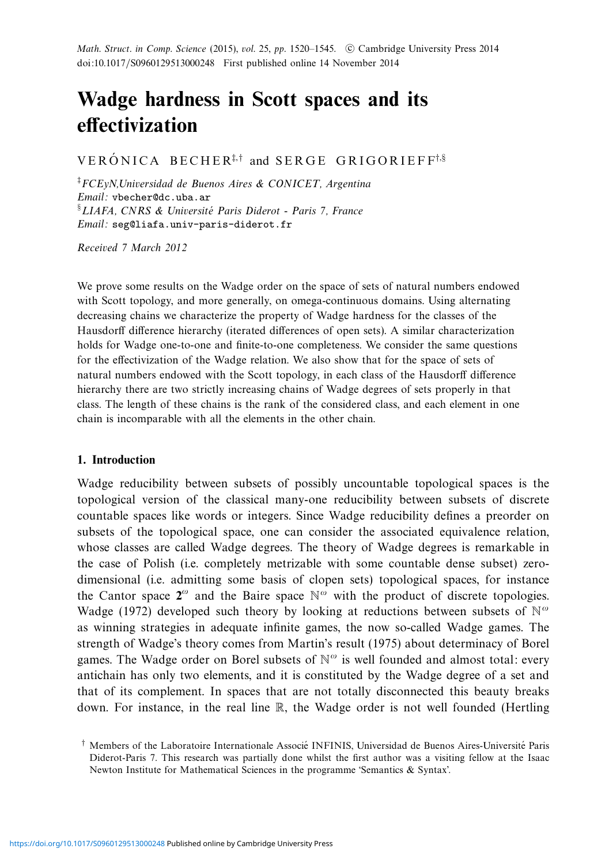# **Wadge hardness in Scott spaces and its effectivization**

VERÓNICA BECHER<sup>‡,†</sup> and SERGE GRIGORIEFF<sup>†,§</sup>

‡ FCEyN,Universidad de Buenos Aires & CONICET, Argentina Email: vbecher@dc.uba.ar §LIAFA, CNRS & Université Paris Diderot - Paris 7, France Email: seg@liafa.univ-paris-diderot.fr

Received 7 March 2012

We prove some results on the Wadge order on the space of sets of natural numbers endowed with Scott topology, and more generally, on omega-continuous domains. Using alternating decreasing chains we characterize the property of Wadge hardness for the classes of the Hausdorff difference hierarchy (iterated differences of open sets). A similar characterization holds for Wadge one-to-one and finite-to-one completeness. We consider the same questions for the effectivization of the Wadge relation. We also show that for the space of sets of natural numbers endowed with the Scott topology, in each class of the Hausdorff difference hierarchy there are two strictly increasing chains of Wadge degrees of sets properly in that class. The length of these chains is the rank of the considered class, and each element in one chain is incomparable with all the elements in the other chain.

#### **1. Introduction**

Wadge reducibility between subsets of possibly uncountable topological spaces is the topological version of the classical many-one reducibility between subsets of discrete countable spaces like words or integers. Since Wadge reducibility defines a preorder on subsets of the topological space, one can consider the associated equivalence relation, whose classes are called Wadge degrees. The theory of Wadge degrees is remarkable in the case of Polish (i.e. completely metrizable with some countable dense subset) zerodimensional (i.e. admitting some basis of clopen sets) topological spaces, for instance the Cantor space  $2^\omega$  and the Baire space  $\mathbb{N}^\omega$  with the product of discrete topologies. Wadge (1972) developed such theory by looking at reductions between subsets of N*<sup>ω</sup>* as winning strategies in adequate infinite games, the now so-called Wadge games. The strength of Wadge's theory comes from Martin's result (1975) about determinacy of Borel games. The Wadge order on Borel subsets of N*<sup>ω</sup>* is well founded and almost total: every antichain has only two elements, and it is constituted by the Wadge degree of a set and that of its complement. In spaces that are not totally disconnected this beauty breaks down. For instance, in the real line R, the Wadge order is not well founded (Hertling

<sup>&</sup>lt;sup> $\dagger$ </sup> Members of the Laboratoire Internationale Associe INFINIS, Universidad de Buenos Aires-Université Paris Diderot-Paris 7. This research was partially done whilst the first author was a visiting fellow at the Isaac Newton Institute for Mathematical Sciences in the programme 'Semantics & Syntax'.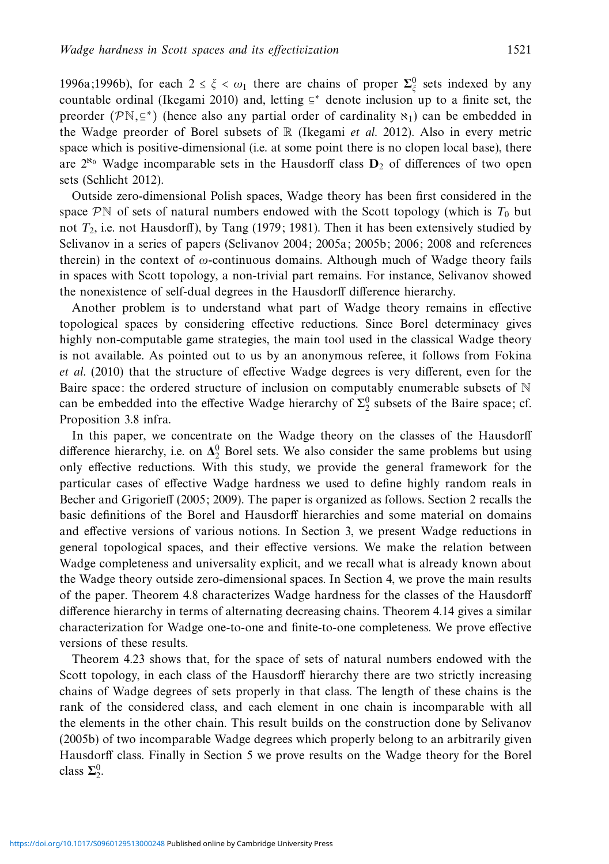1996a;1996b), for each  $2 \le \xi < \omega_1$  there are chains of proper  $\sum_{\xi}^0$  sets indexed by any countable ordinal (Ikegami 2010) and, letting  $\subseteq^*$  denote inclusion up to a finite set, the preorder ( $\mathcal{P}\mathbb{N}, \subseteq^*$ ) (hence also any partial order of cardinality  $\aleph_1$ ) can be embedded in the Wadge preorder of Borel subsets of  $\mathbb R$  (Ikegami et al. 2012). Also in every metric space which is positive-dimensional (i.e. at some point there is no clopen local base), there are  $2^{\aleph_0}$  Wadge incomparable sets in the Hausdorff class  $D_2$  of differences of two open sets (Schlicht 2012).

Outside zero-dimensional Polish spaces, Wadge theory has been first considered in the space  $\mathcal{P}^{\mathbb{N}}$  of sets of natural numbers endowed with the Scott topology (which is  $T_0$  but not *T*2, i.e. not Hausdorff), by Tang (1979; 1981). Then it has been extensively studied by Selivanov in a series of papers (Selivanov 2004; 2005a; 2005b; 2006; 2008 and references therein) in the context of *ω*-continuous domains. Although much of Wadge theory fails in spaces with Scott topology, a non-trivial part remains. For instance, Selivanov showed the nonexistence of self-dual degrees in the Hausdorff difference hierarchy.

Another problem is to understand what part of Wadge theory remains in effective topological spaces by considering effective reductions. Since Borel determinacy gives highly non-computable game strategies, the main tool used in the classical Wadge theory is not available. As pointed out to us by an anonymous referee, it follows from Fokina et al. (2010) that the structure of effective Wadge degrees is very different, even for the Baire space: the ordered structure of inclusion on computably enumerable subsets of  $\mathbb N$ can be embedded into the effective Wadge hierarchy of  $\Sigma_2^0$  subsets of the Baire space; cf. Proposition 3.8 infra.

In this paper, we concentrate on the Wadge theory on the classes of the Hausdorff difference hierarchy, i.e. on  $\Delta_2^0$  Borel sets. We also consider the same problems but using only effective reductions. With this study, we provide the general framework for the particular cases of effective Wadge hardness we used to define highly random reals in Becher and Grigorieff (2005; 2009). The paper is organized as follows. Section 2 recalls the basic definitions of the Borel and Hausdorff hierarchies and some material on domains and effective versions of various notions. In Section 3, we present Wadge reductions in general topological spaces, and their effective versions. We make the relation between Wadge completeness and universality explicit, and we recall what is already known about the Wadge theory outside zero-dimensional spaces. In Section 4, we prove the main results of the paper. Theorem 4.8 characterizes Wadge hardness for the classes of the Hausdorff difference hierarchy in terms of alternating decreasing chains. Theorem 4.14 gives a similar characterization for Wadge one-to-one and finite-to-one completeness. We prove effective versions of these results.

Theorem 4.23 shows that, for the space of sets of natural numbers endowed with the Scott topology, in each class of the Hausdorff hierarchy there are two strictly increasing chains of Wadge degrees of sets properly in that class. The length of these chains is the rank of the considered class, and each element in one chain is incomparable with all the elements in the other chain. This result builds on the construction done by Selivanov (2005b) of two incomparable Wadge degrees which properly belong to an arbitrarily given Hausdorff class. Finally in Section 5 we prove results on the Wadge theory for the Borel class  $\Sigma_2^0$ .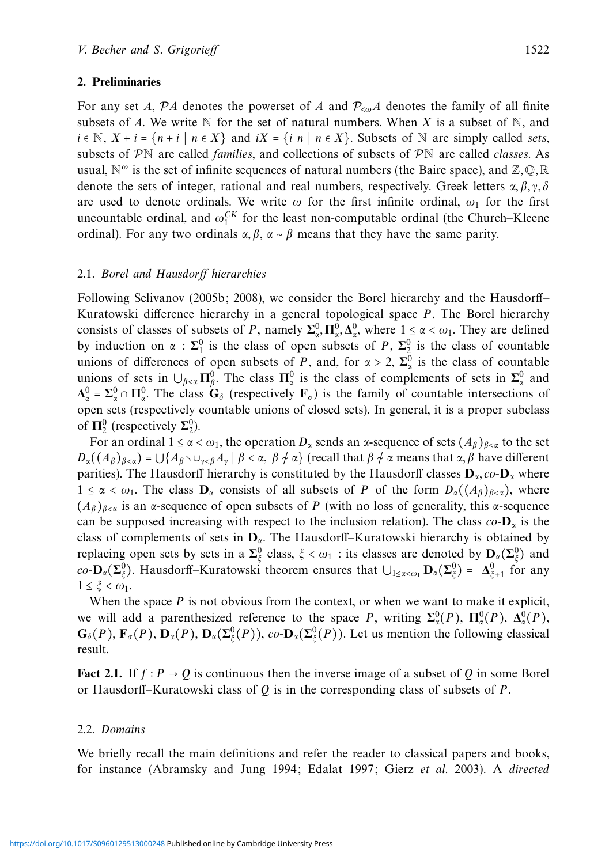#### **2. Preliminaries**

For any set *A*,  $\mathcal{P}A$  denotes the powerset of *A* and  $\mathcal{P}_{\leq \omega}A$  denotes the family of all finite subsets of *A*. We write  $\mathbb N$  for the set of natural numbers. When *X* is a subset of  $\mathbb N$ , and  $i \in \mathbb{N}, X + i = \{n + i \mid n \in X\}$  and  $iX = \{i \mid n \mid n \in X\}$ . Subsets of N are simply called sets, subsets of  $\mathcal{P}\mathbb{N}$  are called *families*, and collections of subsets of  $\mathcal{P}\mathbb{N}$  are called *classes*. As usual,  $\mathbb{N}^{\omega}$  is the set of infinite sequences of natural numbers (the Baire space), and  $\mathbb{Z},\mathbb{Q},\mathbb{R}$ denote the sets of integer, rational and real numbers, respectively. Greek letters  $\alpha, \beta, \gamma, \delta$ are used to denote ordinals. We write *ω* for the first infinite ordinal, *ω*<sup>1</sup> for the first uncountable ordinal, and  $\omega_1^{CK}$  for the least non-computable ordinal (the Church–Kleene ordinal). For any two ordinals  $\alpha, \beta, \alpha \sim \beta$  means that they have the same parity.

#### 2.1. Borel and Hausdorff hierarchies

Following Selivanov (2005b; 2008), we consider the Borel hierarchy and the Hausdorff– Kuratowski difference hierarchy in a general topological space *P*. The Borel hierarchy consists of classes of subsets of *P*, namely  $\Sigma_{\alpha}^{0}$ ,  $\Pi_{\alpha}^{0}$ ,  $\Delta_{\alpha}^{0}$ , where  $1 \leq \alpha < \omega_1$ . They are defined by induction on  $\alpha$  :  $\Sigma_1^0$  is the class of open subsets of *P*,  $\Sigma_2^0$  is the class of countable unions of differences of open subsets of *P*, and, for  $\alpha > 2$ ,  $\Sigma_{\alpha}^{0}$  is the class of countable unions of sets in  $\bigcup_{\beta<\alpha}\Pi_{\beta}^0$ . The class  $\Pi_{\alpha}^0$  is the class of complements of sets in  $\Sigma_{\alpha}^0$  and  $\Delta_{\alpha}^{0} = \Sigma_{\alpha}^{0} \cap \Pi_{\alpha}^{0}$ . The class  $G_{\delta}$  (respectively  $F_{\sigma}$ ) is the family of countable intersections of open sets (respectively countable unions of closed sets). In general, it is a proper subclass of  $\Pi_2^0$  (respectively  $\Sigma_2^0$ ).

For an ordinal  $1 \le \alpha < \omega_1$ , the operation  $D_\alpha$  sends an  $\alpha$ -sequence of sets  $(A_\beta)_{\beta<\alpha}$  to the set  $D_{\alpha}((A_{\beta})_{\beta<\alpha}) = \bigcup \{A_{\beta} \setminus \cup_{\gamma<\beta} A_{\gamma} \mid \beta<\alpha, \beta \neq \alpha\}$  (recall that  $\beta \neq \alpha$  means that  $\alpha, \beta$  have different parities). The Hausdorff hierarchy is constituted by the Hausdorff classes  $D_{\alpha}$ , co- $D_{\alpha}$  where  $1 \leq \alpha < \omega_1$ . The class  $\mathbf{D}_\alpha$  consists of all subsets of *P* of the form  $D_\alpha((A_\beta)_{\beta<\alpha})$ , where (*Aβ*)*<sup>β</sup>*<*<sup>α</sup>* is an *α*-sequence of open subsets of *P* (with no loss of generality, this *α*-sequence can be supposed increasing with respect to the inclusion relation). The class  $co$ -**D**<sub>*a*</sub> is the class of complements of sets in **D***α*. The Hausdorff–Kuratowski hierarchy is obtained by replacing open sets by sets in a  $\Sigma^0_\xi$  class,  $\xi < \omega_1$ : its classes are denoted by  $\mathbf{D}_\alpha(\Sigma^0_\xi)$  and  $co$ **-D**<sub>*α*</sub>( $\Sigma^0_\xi$ ). Hausdorff–Kuratowski theorem ensures that  $\bigcup_{1 \leq \alpha < \omega_1}$ **D**<sub>*a*</sub>( $\Sigma^0_\xi$ ) =  $\Delta^0_{\xi+1}$  for any  $1 \leq \xi < \omega_1$ .

When the space  $P$  is not obvious from the context, or when we want to make it explicit, we will add a parenthesized reference to the space *P*, writing  $\Sigma_{\alpha}^{0}(P)$ ,  $\Pi_{\alpha}^{0}(P)$ ,  $\Delta_{\alpha}^{0}(P)$ ,  $G_{\delta}(P)$ ,  $\mathbf{F}_{\sigma}(P)$ ,  $\mathbf{D}_{\alpha}(P)$ ,  $\mathbf{D}_{\alpha}(\Sigma^0_{\xi}(P))$ ,  $co\text{-}\mathbf{D}_{\alpha}(\Sigma^0_{\xi}(P))$ . Let us mention the following classical result.

**Fact 2.1.** If  $f : P \to Q$  is continuous then the inverse image of a subset of *Q* in some Borel or Hausdorff–Kuratowski class of *Q* is in the corresponding class of subsets of *P*.

#### 2.2. Domains

We briefly recall the main definitions and refer the reader to classical papers and books, for instance (Abramsky and Jung 1994; Edalat 1997; Gierz et al. 2003). A directed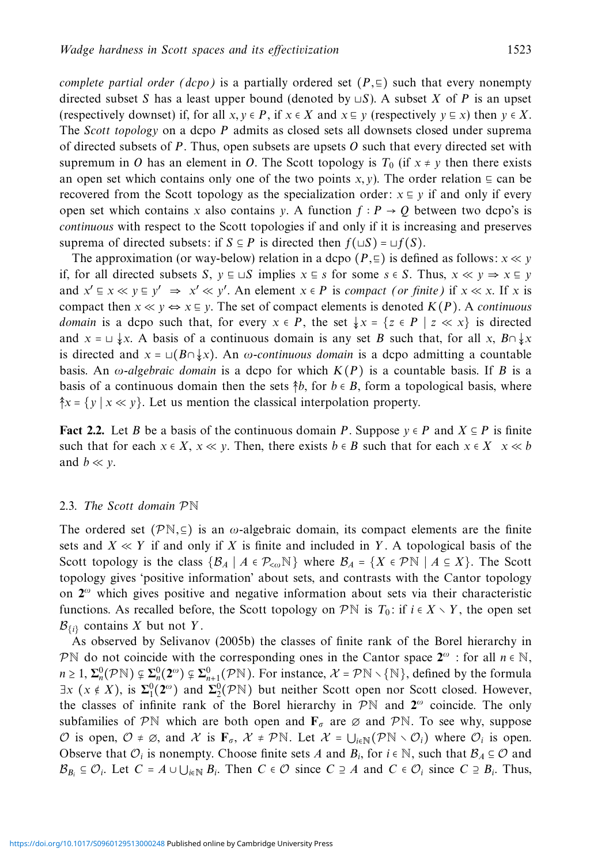complete partial order (dcpo) is a partially ordered set  $(P, \subseteq)$  such that every nonempty directed subset *S* has a least upper bound (denoted by  $\sqcup S$ ). A subset *X* of *P* is an upset (respectively downset) if, for all  $x, y \in P$ , if  $x \in X$  and  $x \in y$  (respectively  $y \in x$ ) then  $y \in X$ . The Scott topology on a dcpo *P* admits as closed sets all downsets closed under suprema of directed subsets of *P*. Thus, open subsets are upsets *O* such that every directed set with supremum in *O* has an element in *O*. The Scott topology is  $T_0$  (if  $x \neq y$  then there exists an open set which contains only one of the two points *x, y*). The order relation  $\subseteq$  can be recovered from the Scott topology as the specialization order:  $x \nsubseteq y$  if and only if every open set which contains *x* also contains *y*. A function  $f : P \rightarrow Q$  between two dcpo's is continuous with respect to the Scott topologies if and only if it is increasing and preserves suprema of directed subsets: if *S*  $\subseteq$  *P* is directed then  $f(\sqcup S) = \sqcup f(S)$ .

The approximation (or way-below) relation in a dcpo  $(P, \subseteq)$  is defined as follows:  $x \ll y$ if, for all directed subsets *S*, *y* ⊑ ⊔*S* implies *x* ⊑ *s* for some *s* ∈ *S*. Thus, *x* ≪ *y* ⇒ *x* ⊑ *y* and  $x' \text{ }\in x \ll y \text{ }\in y' \Rightarrow x' \ll y'$ . An element  $x \in P$  is compact (or finite) if  $x \ll x$ . If *x* is compact then  $x \ll y \Leftrightarrow x \equiv y$ . The set of compact elements is denoted  $K(P)$ . A *continuous domain* is a dcpo such that, for every  $x \in P$ , the set  $\downarrow x = \{z \in P \mid z \ll x\}$  is directed and  $x = \cup \sqrt{x}$ . A basis of a continuous domain is any set *B* such that, for all *x*,  $B \cap \sqrt{x}$ is directed and  $x = \Box (B \cap \downarrow x)$ . An *ω*-continuous domain is a dcpo admitting a countable basis. An  $\omega$ -algebraic domain is a dcpo for which  $K(P)$  is a countable basis. If *B* is a basis of a continuous domain then the sets  $\hat{\phi}$ , for  $b \in B$ , form a topological basis, where  $\hat{\uparrow}$ *x* = {*y* | *x* ≪ *y* }. Let us mention the classical interpolation property.

**Fact 2.2.** Let *B* be a basis of the continuous domain *P*. Suppose  $y \in P$  and  $X \subseteq P$  is finite such that for each  $x \in X$ ,  $x \ll y$ . Then, there exists  $b \in B$  such that for each  $x \in X$   $x \ll b$ and  $b \ll y$ .

#### 2.3. The Scott domain PN

The ordered set  $(\mathcal{P}N,\subseteq)$  is an  $\omega$ -algebraic domain, its compact elements are the finite sets and  $X \ll Y$  if and only if X is finite and included in Y. A topological basis of the Scott topology is the class  $\{B_A \mid A \in \mathcal{P}_{< \omega} \mathbb{N}\}\$  where  $B_A = \{X \in \mathcal{P}\mathbb{N} \mid A \subseteq X\}\$ . The Scott topology gives 'positive information' about sets, and contrasts with the Cantor topology on **2***<sup>ω</sup>* which gives positive and negative information about sets via their characteristic functions. As recalled before, the Scott topology on  $\mathcal{P}\mathbb{N}$  is  $T_0$ : if  $i \in X \setminus Y$ , the open set  $\mathcal{B}_{\{i\}}$  contains *X* but not *Y*.

As observed by Selivanov (2005b) the classes of finite rank of the Borel hierarchy in PN do not coincide with the corresponding ones in the Cantor space  $2^{\omega}$  : for all  $n \in \mathbb{N}$ ,  $n \ge 1$ ,  $\Sigma_n^0(\mathcal{P}N) \subsetneq \Sigma_n^0(2^{\omega}) \subsetneq \Sigma_{n+1}^0(\mathcal{P}N)$ . For instance,  $\mathcal{X} = \mathcal{P}N \setminus \{N\}$ , defined by the formula  $\exists x \ (x \notin X)$ , is  $\Sigma_1^0(2^\omega)$  and  $\Sigma_2^0(\mathcal{P}^N)$  but neither Scott open nor Scott closed. However, the classes of infinite rank of the Borel hierarchy in  $\mathcal{P}\mathbb{N}$  and  $\mathbf{2}^{\omega}$  coincide. The only subfamilies of PN which are both open and  $\mathbf{F}_{\sigma}$  are  $\varnothing$  and PN. To see why, suppose  $\mathcal{O}$  is open,  $\mathcal{O} \neq \emptyset$ , and  $\mathcal{X}$  is  $\mathbf{F}_{\sigma}$ ,  $\mathcal{X} \neq \mathcal{P}\mathbb{N}$ . Let  $\mathcal{X} = \bigcup_{i \in \mathbb{N}} (\mathcal{P}\mathbb{N} \setminus \mathcal{O}_i)$  where  $\mathcal{O}_i$  is open. Observe that  $\mathcal{O}_i$  is nonempty. Choose finite sets *A* and  $B_i$ , for  $i \in \mathbb{N}$ , such that  $B_A \subseteq \mathcal{O}$  and  $B_{B_i} \subseteq \mathcal{O}_i$ . Let  $C = A \cup \bigcup_{i \in \mathbb{N}} B_i$ . Then  $C \in \mathcal{O}$  since  $C \supseteq A$  and  $C \in \mathcal{O}_i$  since  $C \supseteq B_i$ . Thus,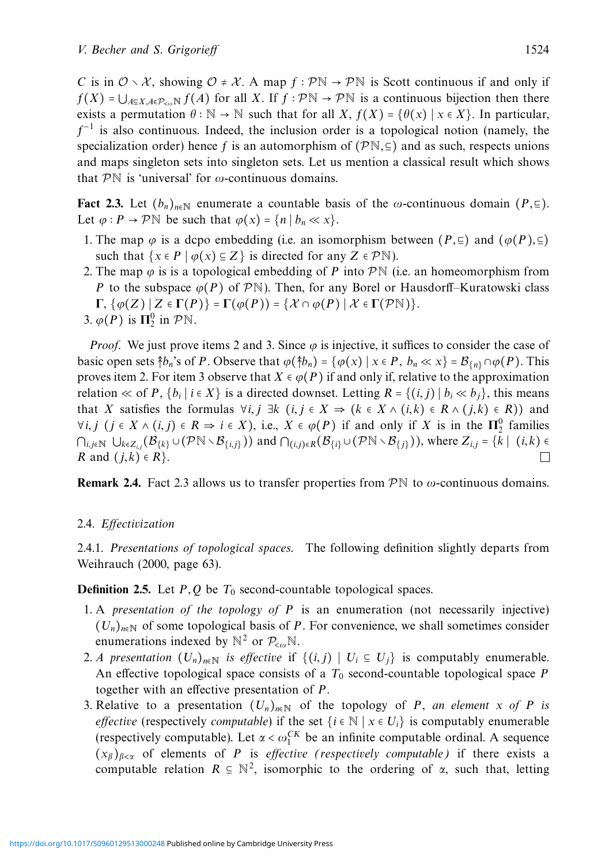*C* is in  $\mathcal{O} \setminus \mathcal{X}$ , showing  $\mathcal{O} \neq \mathcal{X}$ . A map  $f : \mathcal{P} \mathbb{N} \to \mathcal{P} \mathbb{N}$  is Scott continuous if and only if  $f(X) = \bigcup_{A \in X, A \in \mathcal{P}_{\infty}} f(A)$  for all *X*. If  $f : \mathcal{P} \mathbb{N} \to \mathcal{P} \mathbb{N}$  is a continuous bijection then there exists a permutation  $\theta : \mathbb{N} \to \mathbb{N}$  such that for all *X*,  $f(X) = \{\theta(x) \mid x \in X\}$ . In particular, *f*<sup>−1</sup> is also continuous. Indeed, the inclusion order is a topological notion (namely, the specialization order) hence f is an automorphism of  $(\mathcal{P}N, \subseteq)$  and as such, respects unions and maps singleton sets into singleton sets. Let us mention a classical result which shows that PN is 'universal' for *ω*-continuous domains.

**Fact 2.3.** Let  $(b_n)_{n \in \mathbb{N}}$  enumerate a countable basis of the *ω*-continuous domain  $(P, \subseteq)$ . Let  $\varphi$  :  $P \to \mathcal{P} \mathbb{N}$  be such that  $\varphi(x) = \{n \mid b_n \ll x\}.$ 

- 1. The map  $\varphi$  is a dcpo embedding (i.e. an isomorphism between  $(P, \Xi)$  and  $(\varphi(P), \Xi)$ ) such that  $\{x \in P \mid \varphi(x) \subseteq Z\}$  is directed for any  $Z \in \mathcal{P}\mathbb{N}$ ).
- 2. The map  $\varphi$  is is a topological embedding of *P* into  $\mathcal{P}\mathbb{N}$  (i.e. an homeomorphism from *P* to the subspace  $\varphi(P)$  of PN). Then, for any Borel or Hausdorff–Kuratowski class  $\Gamma$ ,  $\{\varphi(Z) | Z \in \Gamma(P)\} = \Gamma(\varphi(P)) = \{\mathcal{X} \cap \varphi(P) | \mathcal{X} \in \Gamma(\mathcal{P}N)\}.$ 3.  $\varphi(P)$  is  $\Pi_2^0$  in  $P\mathbb{N}$ .

*Proof.* We just prove items 2 and 3. Since  $\varphi$  is injective, it suffices to consider the case of basic open sets  $\hat{\uparrow}b_n$ 's of *P*. Observe that  $\varphi(\hat{\uparrow}b_n) = \{\varphi(x) \mid x \in P, b_n \ll x\} = \mathcal{B}_{\{n\}} \cap \varphi(P)$ . This proves item 2. For item 3 observe that  $X \in \varphi(P)$  if and only if, relative to the approximation relation ≪ of *P*,  $\{b_i | i \in X\}$  is a directed downset. Letting  $R = \{(i, j) | b_i \ll b_j\}$ , this means that *X* satisfies the formulas  $\forall i, j \exists k$  (*i, j* ∈ *X*  $\Rightarrow$  (*k* ∈ *X* ∧ (*i, k*) ∈ *R* ∧ (*j, k*) ∈ *R*)) and  $\forall i, j \ (j \in X \land (i, j) \in R \Rightarrow i \in X)$ , i.e.,  $X \in \varphi(P)$  if and only if  $X$  is in the  $\Pi^0_2$  families  $\bigcap_{i,j\in\mathbb{N}}$  ∪ $k\in\mathbb{Z}_{i,j}(\mathcal{B}_{\{k\}}\cup(\mathcal{P}\mathbb{N}\setminus\mathcal{B}_{\{i,j\}}))$  and  $\bigcap_{(i,j)\in R}(\mathcal{B}_{\{i\}}\cup(\mathcal{P}\mathbb{N}\setminus\mathcal{B}_{\{j\}}))$ , where  $Z_{i,j} = \{k \mid (i,k) \in R \text{ and } (j,k) \in R\}$ . □ *R* and  $(j,k) \in R$ .

**Remark 2.4.** Fact 2.3 allows us to transfer properties from  $\mathcal{P}\mathbb{N}$  to  $\omega$ -continuous domains.

# 2.4. Effectivization

2.4.1. Presentations of topological spaces. The following definition slightly departs from Weihrauch (2000, page 63).

**Definition 2.5.** Let *P,Q* be *T*<sup>0</sup> second-countable topological spaces.

- 1. A presentation of the topology of *P* is an enumeration (not necessarily injective)  $(U_n)_{n\in\mathbb{N}}$  of some topological basis of *P*. For convenience, we shall sometimes consider enumerations indexed by  $\mathbb{N}^2$  or  $\mathcal{P}_{\leq \omega} \mathbb{N}$ .
- 2. A presentation  $(U_n)_{n\in\mathbb{N}}$  is effective if  $\{(i,j) \mid U_i \subseteq U_j\}$  is computably enumerable. An effective topological space consists of a *T*<sup>0</sup> second-countable topological space *P* together with an effective presentation of *P*.
- 3. Relative to a presentation  $(U_n)_{n\in\mathbb{N}}$  of the topology of *P*, an element *x* of *P* is *effective* (respectively *computable*) if the set  $\{i \in \mathbb{N} \mid x \in U_i\}$  is computably enumerable (respectively computable). Let  $\alpha < \omega_1^{CK}$  be an infinite computable ordinal. A sequence  $(x_\beta)_{\beta<\alpha}$  of elements of *P* is *effective* (*respectively computable*) if there exists a computable relation  $R \subseteq \mathbb{N}^2$ , isomorphic to the ordering of  $\alpha$ , such that, letting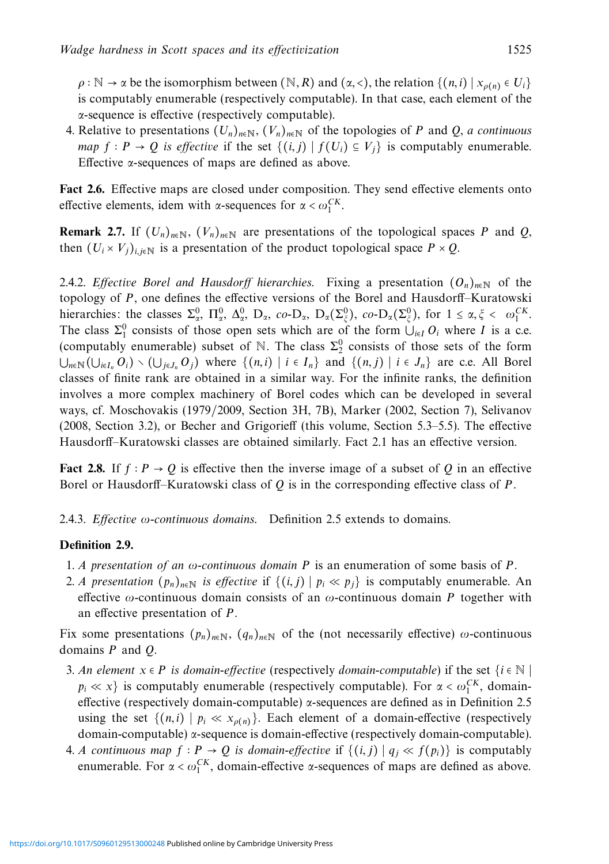$\rho$  :  $\mathbb{N} \to \alpha$  be the isomorphism between  $(\mathbb{N}, R)$  and  $(\alpha, \langle \cdot \rangle)$ , the relation  $\{(n, i) | x_{\rho(n)} \in U_i\}$ is computably enumerable (respectively computable). In that case, each element of the *α*-sequence is effective (respectively computable).

4. Relative to presentations  $(U_n)_{n\in\mathbb{N}}$ ,  $(V_n)_{n\in\mathbb{N}}$  of the topologies of *P* and *Q*, *a* continuous *map*  $f : P \to Q$  *is effective* if the set  $\{(i, j) | f(U_i) \subseteq V_j\}$  is computably enumerable. Effective *α*-sequences of maps are defined as above.

**Fact 2.6.** Effective maps are closed under composition. They send effective elements onto effective elements, idem with *α*-sequences for  $\alpha < \omega_1^{CK}$ .

**Remark 2.7.** If  $(U_n)_{n \in \mathbb{N}}$ ,  $(V_n)_{n \in \mathbb{N}}$  are presentations of the topological spaces *P* and *Q*, then  $(U_i \times V_j)_{i,j \in \mathbb{N}}$  is a presentation of the product topological space  $P \times Q$ .

2.4.2. Effective Borel and Hausdorff hierarchies. Fixing a presentation  $(O_n)_{n \in \mathbb{N}}$  of the topology of *P*, one defines the effective versions of the Borel and Hausdorff–Kuratowski hierarchies: the classes  $\Sigma_{\alpha}^{0}$ ,  $\Pi_{\alpha}^{0}$ ,  $\Delta_{\alpha}^{0}$ ,  $D_{\alpha}$ ,  $co \cdot D_{\alpha}$ ,  $D_{\alpha}(\Sigma_{\xi}^{0})$ ,  $co \cdot D_{\alpha}(\Sigma_{\xi}^{0})$ , for  $1 \leq \alpha, \xi \leq \omega_{1}^{CK}$ . The class  $\Sigma_1^0$  consists of those open sets which are of the form  $\bigcup_{i\in I} O_i$  where *I* is a c.e. (computably enumerable) subset of N. The class  $\Sigma_2^0$  consists of those sets of the form  $\bigcup_{n\in\mathbb{N}}(\bigcup_{i\in I_n}O_i)\setminus(\bigcup_{j\in J_n}O_j)$  where  $\{(n,i) | i\in I_n\}$  and  $\{(n,j) | i\in J_n\}$  are c.e. All Borel classes of finite rank are obtained in a similar way. For the infinite ranks, the definition involves a more complex machinery of Borel codes which can be developed in several ways, cf. Moschovakis (1979/2009, Section 3H, 7B), Marker (2002, Section 7), Selivanov (2008, Section 3.2), or Becher and Grigorieff (this volume, Section 5.3–5.5). The effective Hausdorff–Kuratowski classes are obtained similarly. Fact 2.1 has an effective version.

**Fact 2.8.** If  $f : P \to Q$  is effective then the inverse image of a subset of *Q* in an effective Borel or Hausdorff–Kuratowski class of *Q* is in the corresponding effective class of *P*.

2.4.3. Effective *ω*-continuous domains. Definition 2.5 extends to domains.

# **Definition 2.9.**

- 1. A presentation of an *ω*-continuous domain *P* is an enumeration of some basis of *P*.
- 2. A presentation  $(p_n)_{n \in \mathbb{N}}$  is effective if  $\{(i,j) | p_i \ll p_j\}$  is computably enumerable. An effective *ω*-continuous domain consists of an *ω*-continuous domain *P* together with an effective presentation of *P*.

Fix some presentations  $(p_n)_{n\in\mathbb{N}}$ ,  $(q_n)_{n\in\mathbb{N}}$  of the (not necessarily effective)  $\omega$ -continuous domains *P* and *Q*.

- 3. An element  $x \in P$  is domain-effective (respectively domain-computable) if the set  $\{i \in \mathbb{N} \mid$  $p_i \ll x$ } is computably enumerable (respectively computable). For  $\alpha < \omega_1^{CK}$ , domaineffective (respectively domain-computable) *α*-sequences are defined as in Definition 2.5 using the set  $\{(n,i) | p_i \ll x_{\rho(n)}\}$ . Each element of a domain-effective (respectively domain-computable) *α*-sequence is domain-effective (respectively domain-computable).
- 4. A continuous map *f* ∶ *P* → *Q* is domain-effective if  $\{(i, j) | q_j \ll f(p_i)\}$  is computably enumerable. For  $\alpha < \omega_1^{CK}$ , domain-effective *α*-sequences of maps are defined as above.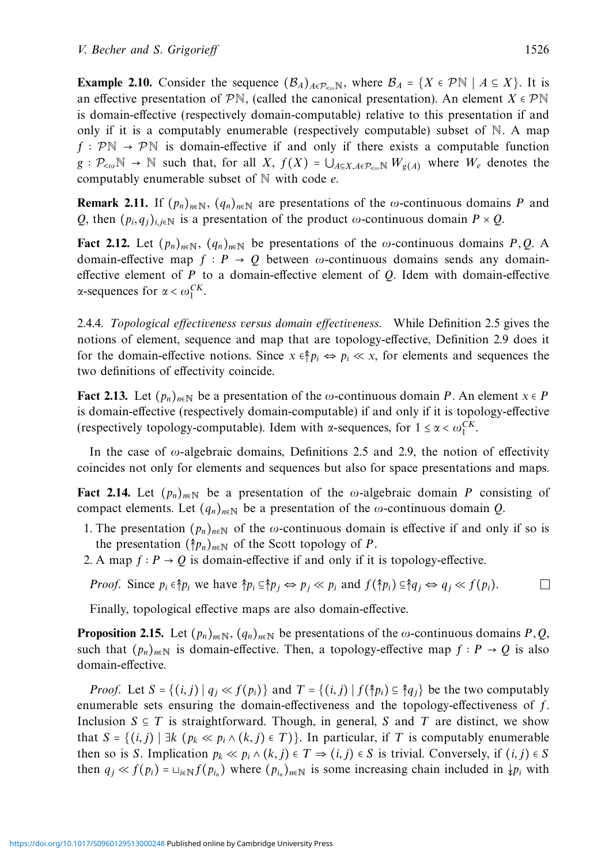**Example 2.10.** Consider the sequence  $(\mathcal{B}_A)_{A \in \mathcal{P}_{con}^{\mathbb{N}}}$ , where  $\mathcal{B}_A = \{X \in \mathcal{P}^{\mathbb{N}} \mid A \subseteq X\}$ . It is an effective presentation of  $\mathcal{P}\mathbb{N}$ , (called the canonical presentation). An element *X*  $\in \mathcal{P}\mathbb{N}$ is domain-effective (respectively domain-computable) relative to this presentation if and only if it is a computably enumerable (respectively computable) subset of  $\mathbb N$ . A map *f* :  $\mathcal{P}\mathbb{N} \rightarrow \mathcal{P}\mathbb{N}$  is domain-effective if and only if there exists a computable function  $g: \mathcal{P}_{\leq \omega} \mathbb{N} \to \mathbb{N}$  such that, for all *X*,  $f(X) = \bigcup_{A \subseteq X, A \in \mathcal{P}_{\leq \omega} \mathbb{N}} W_{g(A)}$  where  $W_e$  denotes the computably enumerable subset of N with code *e*.

**Remark 2.11.** If  $(p_n)_{n \in \mathbb{N}}$ ,  $(q_n)_{n \in \mathbb{N}}$  are presentations of the *ω*-continuous domains *P* and *Q*, then  $(p_i, q_j)_{i,i \in \mathbb{N}}$  is a presentation of the product *ω*-continuous domain  $P \times Q$ .

**Fact 2.12.** Let  $(p_n)_{n \in \mathbb{N}}$ ,  $(q_n)_{n \in \mathbb{N}}$  be presentations of the *ω*-continuous domains *P*, *Q*. A domain-effective map  $f : P \to Q$  between  $\omega$ -continuous domains sends any domaineffective element of *P* to a domain-effective element of *Q*. Idem with domain-effective *α*-sequences for *α* <  $ω_1^{CK}$ .

2.4.4. Topological effectiveness versus domain effectiveness. While Definition 2.5 gives the notions of element, sequence and map that are topology-effective, Definition 2.9 does it for the domain-effective notions. Since  $x \in \hat{p}_i \Leftrightarrow p_i \ll x$ , for elements and sequences the two definitions of effectivity coincide.

**Fact 2.13.** Let  $(p_n)_{n \in \mathbb{N}}$  be a presentation of the *ω*-continuous domain *P*. An element  $x \in P$ is domain-effective (respectively domain-computable) if and only if it is topology-effective (respectively topology-computable). Idem with *α*-sequences, for  $1 \le \alpha < \omega_1^{CK}$ .

In the case of *ω*-algebraic domains, Definitions 2.5 and 2.9, the notion of effectivity coincides not only for elements and sequences but also for space presentations and maps.

**Fact 2.14.** Let  $(p_n)_{n \in \mathbb{N}}$  be a presentation of the *ω*-algebraic domain *P* consisting of compact elements. Let  $(q_n)_{n \in \mathbb{N}}$  be a presentation of the *ω*-continuous domain *Q*.

- 1. The presentation  $(p_n)_{n \in \mathbb{N}}$  of the *ω*-continuous domain is effective if and only if so is the presentation  $(\hat{\uparrow} p_n)_{n \in \mathbb{N}}$  of the Scott topology of *P*.
- 2. A map  $f : P \to Q$  is domain-effective if and only if it is topology-effective.

*Proof.* Since  $p_i \in \hat{p}_i$  we have  $\hat{p}_i \subseteq \hat{p}_j \Leftrightarrow p_j \ll p_i$  and  $f(\hat{p}_i) \subseteq \hat{q}_j \Leftrightarrow q_j \ll f(p_i)$ .  $\Box$ 

Finally, topological effective maps are also domain-effective.

**Proposition 2.15.** Let  $(p_n)_{n \in \mathbb{N}}$ ,  $(q_n)_{n \in \mathbb{N}}$  be presentations of the *ω*-continuous domains *P*, *Q*, such that  $(p_n)_{n \in \mathbb{N}}$  is domain-effective. Then, a topology-effective map  $f : P \to Q$  is also domain-effective.

*Proof.* Let  $S = \{(i, j) | q_i \ll f(p_i) \}$  and  $T = \{(i, j) | f(\hat{\uparrow} p_i) \subseteq \hat{\uparrow} q_i \}$  be the two computably enumerable sets ensuring the domain-effectiveness and the topology-effectiveness of *f*. Inclusion  $S \subseteq T$  is straightforward. Though, in general, *S* and *T* are distinct, we show that *S* = {(*i, j*)∣∃*k* (*pk* ≪ *pi* ∧ (*k, j*) ∈ *T*)}. In particular, if *T* is computably enumerable then so is *S*. Implication  $p_k \ll p_i \land (k, j) \in T \Rightarrow (i, j) \in S$  is trivial. Conversely, if  $(i, j) \in S$ then  $q_j \ll f(p_i) = \bigcup_{i \in \mathbb{N}} f(p_i)$  where  $(p_{i_n})_{n \in \mathbb{N}}$  is some increasing chain included in  $\downarrow p_i$  with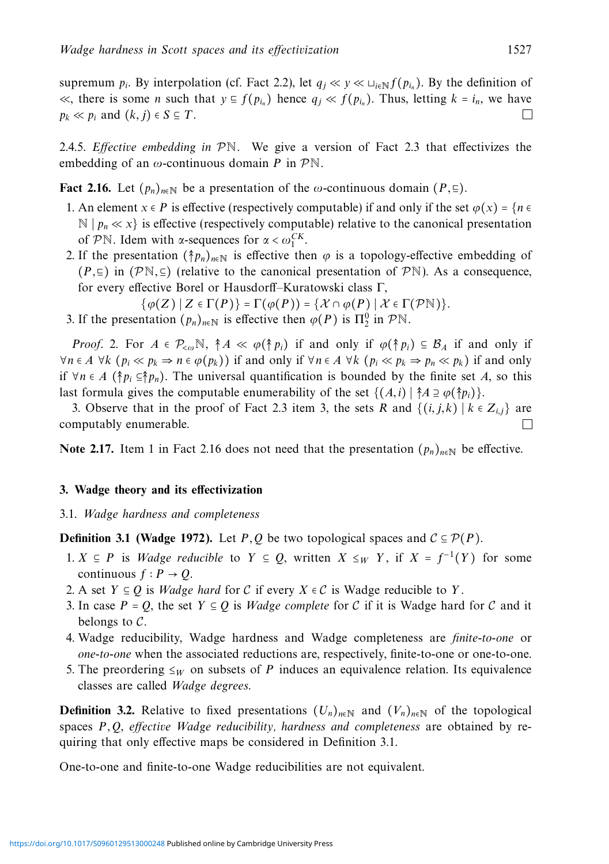supremum  $p_i$ . By interpolation (cf. Fact 2.2), let  $q_i \ll y \ll \bigcup_{i \in \mathbb{N}} f(p_i)$ . By the definition of ≪, there is some *n* such that  $y \text{ } \text{ } \text{ } f(p_{i_n})$  hence  $q_j \text{ } \text{ } \text{ } \text{ } f(p_{i_n})$ . Thus, letting  $k = i_n$ , we have  $p_k \text{ } \text{ } \text{ } \text{ } n_k \text{ } \text{ } \text{ } \text{ } \text{ } \text{ } n_k$  and  $(k, i) \text{ } \text{ } \text{ } S \text{ } \text{ } \text{ } T$ .  $p_k \ll p_i$  and  $(k, j) \in S \subseteq T$ .

2.4.5. Effective embedding in  $\mathcal{P}\mathbb{N}$ . We give a version of Fact 2.3 that effectivizes the embedding of an *ω*-continuous domain *P* in PN.

**Fact 2.16.** Let  $(p_n)_{n\in\mathbb{N}}$  be a presentation of the  $\omega$ -continuous domain  $(P, \subseteq)$ .

- 1. An element  $x \in P$  is effective (respectively computable) if and only if the set  $\varphi(x) = \{n \in \mathbb{R}^n : x \in P\}$  $\mathbb{N}$  |  $p_n \ll x$ } is effective (respectively computable) relative to the canonical presentation of PN. Idem with *α*-sequences for  $\alpha < \omega_1^{CK}$ .
- 2. If the presentation  $(\hat{\uparrow}p_n)_{n\in\mathbb{N}}$  is effective then  $\varphi$  is a topology-effective embedding of  $(P, ⊆)$  in  $(P\mathbb{N}, ⊆)$  (relative to the canonical presentation of PN). As a consequence, for every effective Borel or Hausdorff–Kuratowski class Γ,

$$
\{\varphi(Z) \mid Z \in \Gamma(P)\} = \Gamma(\varphi(P)) = \{\mathcal{X} \cap \varphi(P) \mid \mathcal{X} \in \Gamma(\mathcal{P}\mathbb{N})\}.
$$

3. If the presentation  $(p_n)_{n \in \mathbb{N}}$  is effective then  $\varphi(P)$  is  $\Pi_2^0$  in  $P\mathbb{N}$ .

*Proof.* 2. For  $A \in \mathcal{P}_{\leq \omega} \mathbb{N}$ ,  $\dagger A \ll \varphi(\dagger p_i)$  if and only if  $\varphi(\dagger p_i) \subseteq \mathcal{B}_A$  if and only if  $\forall n \in A$  ∀*k* ( $p_i \ll p_k \Rightarrow n \in \varphi(p_k)$ ) if and only if  $\forall n \in A$  ∀*k* ( $p_i \ll p_k \Rightarrow p_n \ll p_k$ ) if and only if  $\forall n \in A$  ( $\uparrow p_i \subseteq \uparrow p_n$ ). The universal quantification is bounded by the finite set *A*, so this last formula gives the computable enumerability of the set  $\{(A, i) | \nless a \supseteq \varphi(\nless p_i)\}.$ 

3. Observe that in the proof of Fact 2.3 item 3, the sets *R* and  $\{(i, j, k) | k \in Z_{i,j}\}\$  are moutably enumerable computably enumerable.

**Note 2.17.** Item 1 in Fact 2.16 does not need that the presentation  $(p_n)_{n \in \mathbb{N}}$  be effective.

#### **3. Wadge theory and its effectivization**

3.1. Wadge hardness and completeness

**Definition 3.1 (Wadge 1972).** Let *P*, *Q* be two topological spaces and  $C \subseteq \mathcal{P}(P)$ .

- 1. *X* ⊆ *P* is *Wadge reducible* to *Y* ⊆ *Q*, written *X* ≤*w Y*, if *X* =  $f^{-1}(Y)$  for some continuous  $f : P \to Q$ .
- 2. A set  $Y \subseteq Q$  is *Wadge hard* for C if every  $X \in C$  is Wadge reducible to Y.
- 3. In case  $P = Q$ , the set  $Y \subseteq Q$  is *Wadge complete* for C if it is Wadge hard for C and it belongs to  $C$ .
- 4. Wadge reducibility, Wadge hardness and Wadge completeness are finite-to-one or one-to-one when the associated reductions are, respectively, finite-to-one or one-to-one.
- 5. The preordering  $\leq_W$  on subsets of *P* induces an equivalence relation. Its equivalence classes are called Wadge degrees.

**Definition 3.2.** Relative to fixed presentations  $(U_n)_{n \in \mathbb{N}}$  and  $(V_n)_{n \in \mathbb{N}}$  of the topological spaces *P,Q*, effective Wadge reducibility, hardness and completeness are obtained by requiring that only effective maps be considered in Definition 3.1.

One-to-one and finite-to-one Wadge reducibilities are not equivalent.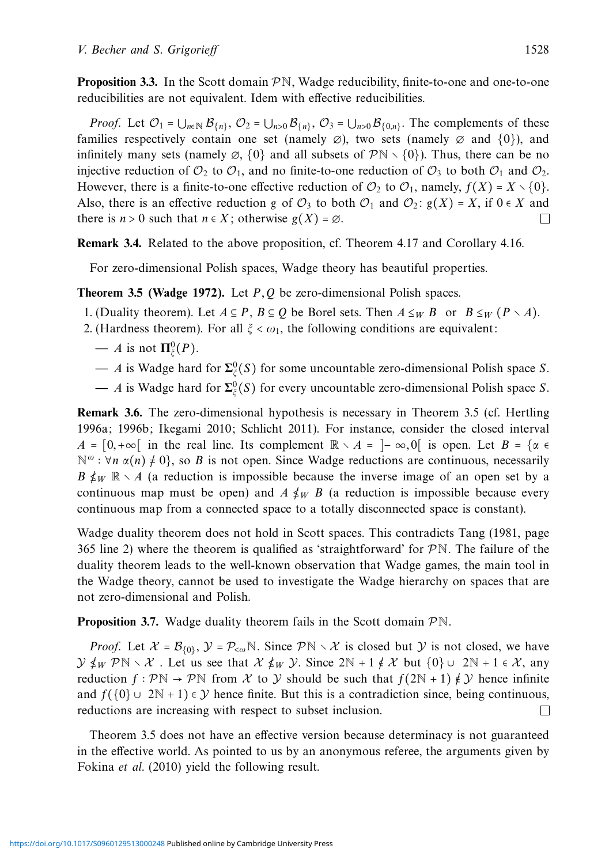**Proposition 3.3.** In the Scott domain  $\mathcal{P}N$ , Wadge reducibility, finite-to-one and one-to-one reducibilities are not equivalent. Idem with effective reducibilities.

*Proof.* Let  $\mathcal{O}_1 = \bigcup_{n \in \mathbb{N}} \mathcal{B}_{\{n\}}$ ,  $\mathcal{O}_2 = \bigcup_{n>0} \mathcal{B}_{\{n\}}$ ,  $\mathcal{O}_3 = \bigcup_{n>0} \mathcal{B}_{\{0,n\}}$ . The complements of these families respectively contain one set (namely  $\emptyset$ ), two sets (namely  $\emptyset$  and  $\{0\}$ ), and infinitely many sets (namely  $\emptyset$ ,  $\{0\}$  and all subsets of  $\mathcal{P}N \setminus \{0\}$ ). Thus, there can be no injective reduction of  $\mathcal{O}_2$  to  $\mathcal{O}_1$ , and no finite-to-one reduction of  $\mathcal{O}_3$  to both  $\mathcal{O}_1$  and  $\mathcal{O}_2$ . However, there is a finite-to-one effective reduction of  $\mathcal{O}_2$  to  $\mathcal{O}_1$ , namely,  $f(X) = X \setminus \{0\}$ . Also, there is an effective reduction *g* of  $\mathcal{O}_3$  to both  $\mathcal{O}_1$  and  $\mathcal{O}_2$ :  $g(X) = X$ , if  $0 \in X$  and there is  $n > 0$  such that  $n \in X$ : otherwise  $g(X) = \emptyset$ . there is  $n > 0$  such that  $n \in X$ ; otherwise  $g(X) = \emptyset$ .

**Remark 3.4.** Related to the above proposition, cf. Theorem 4.17 and Corollary 4.16.

For zero-dimensional Polish spaces, Wadge theory has beautiful properties.

#### **Theorem 3.5 (Wadge 1972).** Let *P,Q* be zero-dimensional Polish spaces.

- 1. (Duality theorem). Let  $A \subseteq P$ ,  $B \subseteq Q$  be Borel sets. Then  $A \leq_W B$  or  $B \leq_W (P \setminus A)$ .
- 2. (Hardness theorem). For all  $\xi < \omega_1$ , the following conditions are equivalent:
	- $A$  is not  $\Pi_{\xi}^{0}(P)$ .
	- **—** *A* is Wadge hard for **Σ**<sup>0</sup> *<sup>ξ</sup>*(*S*) for some uncountable zero-dimensional Polish space *S*.
	- **—** *A* is Wadge hard for **Σ**<sup>0</sup> *<sup>ξ</sup>*(*S*) for every uncountable zero-dimensional Polish space *S*.

**Remark 3.6.** The zero-dimensional hypothesis is necessary in Theorem 3.5 (cf. Hertling 1996a; 1996b; Ikegami 2010; Schlicht 2011). For instance, consider the closed interval  $A = \begin{bmatrix} 0, +\infty \end{bmatrix}$  in the real line. Its complement  $\mathbb{R} \setminus A = \begin{bmatrix} -\infty, 0 \end{bmatrix}$  is open. Let  $B = \{ \alpha \in A \}$ <sup>*N*ω</sup> : ∀*n* α(*n*)  $\neq$  0}, so *B* is not open. Since Wadge reductions are continuous, necessarily *B*  $\sharp$ *W*  $\mathbb{R} \setminus A$  (a reduction is impossible because the inverse image of an open set by a continuous map must be open) and  $A \not\leq_W B$  (a reduction is impossible because every continuous map from a connected space to a totally disconnected space is constant).

Wadge duality theorem does not hold in Scott spaces. This contradicts Tang (1981, page 365 line 2) where the theorem is qualified as 'straightforward' for  $\mathcal{P}N$ . The failure of the duality theorem leads to the well-known observation that Wadge games, the main tool in the Wadge theory, cannot be used to investigate the Wadge hierarchy on spaces that are not zero-dimensional and Polish.

**Proposition 3.7.** Wadge duality theorem fails in the Scott domain  $\mathcal{P}\mathbb{N}$ .

*Proof.* Let  $X = B_{\{0\}}$ ,  $Y = P_{\leq \omega} \mathbb{N}$ . Since  $P\mathbb{N} \setminus X$  is closed but Y is not closed, we have  $\mathcal{Y} \nleq_W \mathcal{P} \mathbb{N} \setminus \mathcal{X}$ . Let us see that  $\mathcal{X} \nleq_W \mathcal{Y}$ . Since  $2\mathbb{N} + 1 \notin \mathcal{X}$  but  $\{0\} \cup 2\mathbb{N} + 1 \in \mathcal{X}$ , any reduction *f* ∶ PN → PN from X to Y should be such that  $f(2N + 1) \notin Y$  hence infinite and  $f({0} \cup 2N + 1) \in Y$  hence finite. But this is a contradiction since, being continuous, reductions are increasing with respect to subset inclusion. reductions are increasing with respect to subset inclusion.

Theorem 3.5 does not have an effective version because determinacy is not guaranteed in the effective world. As pointed to us by an anonymous referee, the arguments given by Fokina et al. (2010) yield the following result.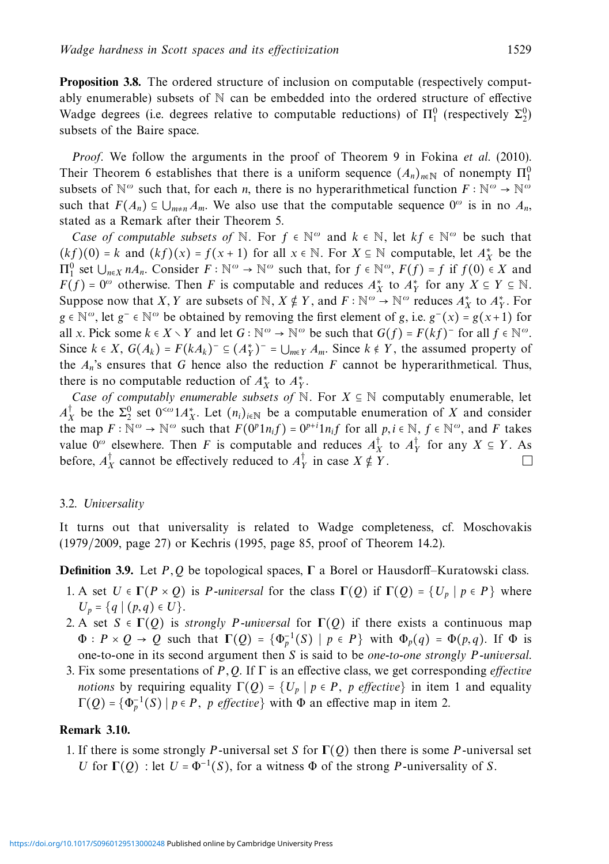**Proposition 3.8.** The ordered structure of inclusion on computable (respectively computably enumerable) subsets of  $\mathbb N$  can be embedded into the ordered structure of effective Wadge degrees (i.e. degrees relative to computable reductions) of  $\Pi_1^0$  (respectively  $\Sigma_2^0$ ) subsets of the Baire space.

Proof. We follow the arguments in the proof of Theorem 9 in Fokina et al. (2010). Their Theorem 6 establishes that there is a uniform sequence  $(A_n)_{n \in \mathbb{N}}$  of nonempty  $\Pi_1^0$ subsets of  $\mathbb{N}^{\omega}$  such that, for each *n*, there is no hyperarithmetical function  $F : \mathbb{N}^{\omega} \to \mathbb{N}^{\omega}$ such that  $F(A_n) \subseteq \bigcup_{m \neq n} A_m$ . We also use that the computable sequence  $0^\omega$  is in no  $A_n$ , stated as a Remark after their Theorem 5.

*Case of computable subsets of*  $\mathbb N$ . For  $f \in \mathbb N^\omega$  and  $k \in \mathbb N$ , let  $kf \in \mathbb N^\omega$  be such that  $(kf)(0) = k$  and  $(kf)(x) = f(x+1)$  for all  $x \in \mathbb{N}$ . For  $X \subseteq \mathbb{N}$  computable, let  $A^*_{X}$  be the  $\Pi_1^0$  set  $\bigcup_{n \in X} nA_n$ . Consider *F* ∶ N<sup>ω</sup> → N<sup>ω</sup> such that, for *f* ∈ N<sup>ω</sup>, *F*(*f*) = *f* if *f*(0) ∈ *X* and *F*(*f*) = 0<sup>*ω*</sup> otherwise. Then *F* is computable and reduces  $A^*$ <sub>*X*</sub> to  $A^*$ <sub>*Y*</sub> for any *X* ⊆ *Y* ⊆ N. Suppose now that *X*, *Y* are subsets of  $\mathbb{N}$ ,  $X \notin Y$ , and  $F : \mathbb{N}^{\omega} \to \mathbb{N}^{\omega}$  reduces  $A_X^*$  to  $A_Y^*$ . For *g* ∈  $\mathbb{N}^{\omega}$ , let *g*<sup>−</sup> ∈  $\mathbb{N}^{\omega}$  be obtained by removing the first element of *g*, i.e. *g*<sup>−</sup>(*x*) = *g*(*x*+1) for all *x*. Pick some  $k \in X \setminus Y$  and let  $G : \mathbb{N}^\omega \to \mathbb{N}^\omega$  be such that  $G(f) = F(kf)$ <sup>−</sup> for all  $f \in \mathbb{N}^\omega$ . Since  $k \in X$ ,  $G(A_k) = F(kA_k)^{-} \subseteq (A_Y^*)^{-} = \bigcup_{m \in Y} A_m$ . Since  $k \notin Y$ , the assumed property of the  $A_n$ 's ensures that G hence also the reduction  $F$  cannot be hyperarithmetical. Thus, there is no computable reduction of  $A_X^*$  to  $A_Y^*$ .

Case of computably enumerable subsets of  $\mathbb N$ . For  $X \subseteq \mathbb N$  computably enumerable, let  $A_X^{\dagger}$  be the  $\Sigma_2^0$  set  $0^{<\omega}1A_X^*$ . Let  $(n_i)_{i\in\mathbb{N}}$  be a computable enumeration of *X* and consider the map  $F : \mathbb{N}^{\omega} \to \mathbb{N}^{\omega}$  such that  $F(0^p 1 n_i f) = 0^{p+i} 1 n_i f$  for all  $p, i \in \mathbb{N}$ ,  $f \in \mathbb{N}^{\omega}$ , and  $F$  takes value  $0^\omega$  elsewhere. Then *F* is computable and reduces  $A_X^{\dagger}$  to  $A_Y^{\dagger}$  for any  $X \subseteq Y$ . As before,  $A_X^{\dagger}$  cannot be effectively reduced to  $A_Y^{\dagger}$  in case  $X \notin Y$ .

#### 3.2. Universality

It turns out that universality is related to Wadge completeness, cf. Moschovakis (1979/2009, page 27) or Kechris (1995, page 85, proof of Theorem 14.2).

### **Definition 3.9.** Let *P,Q* be topological spaces, **Γ** a Borel or Hausdorff–Kuratowski class.

- 1. A set  $U \in \Gamma(P \times Q)$  is *P*-universal for the class  $\Gamma(Q)$  if  $\Gamma(Q) = \{U_p \mid p \in P\}$  where *U<sub>p</sub>* = {*q* | (*p*, *q*) ∈ *U* }.
- 2. A set  $S \in \Gamma(Q)$  is *strongly P-universal* for  $\Gamma(Q)$  if there exists a continuous map  $\Phi$  :  $P \times Q \rightarrow Q$  such that  $\Gamma(Q) = {\Phi_p^{-1}(S) | p \in P}$  with  $\Phi_p(q) = \Phi(p,q)$ . If  $\Phi$  is one-to-one in its second argument then *S* is said to be one-to-one strongly *P*-universal.
- 3. Fix some presentations of *P,Q*. If Γ is an effective class, we get corresponding effective notions by requiring equality  $\Gamma(Q) = \{U_p \mid p \in P, p \text{ effective}\}\$  in item 1 and equality  $\Gamma(Q) = {\Phi_p^{-1}(S) | p \in P, p \text{ effective}}$  with  $\Phi$  an effective map in item 2.

#### **Remark 3.10.**

1. If there is some strongly *P*-universal set *S* for **Γ**(*Q*) then there is some *P*-universal set *U* for  $\Gamma(Q)$  : let  $U = \Phi^{-1}(S)$ , for a witness  $\Phi$  of the strong *P*-universality of *S*.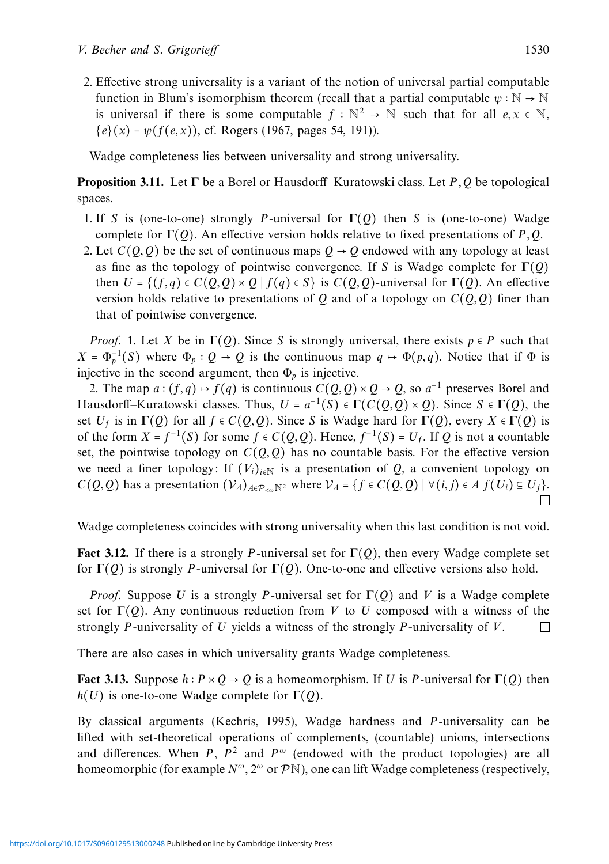2. Effective strong universality is a variant of the notion of universal partial computable function in Blum's isomorphism theorem (recall that a partial computable  $\psi : \mathbb{N} \to \mathbb{N}$ is universal if there is some computable  $f : \mathbb{N}^2 \to \mathbb{N}$  such that for all  $e, x \in \mathbb{N}$ ,  ${e}(x) = \psi(f(e, x))$ , cf. Rogers (1967, pages 54, 191)).

Wadge completeness lies between universality and strong universality.

**Proposition 3.11.** Let **Γ** be a Borel or Hausdorff–Kuratowski class. Let *P,Q* be topological spaces.

- 1. If *S* is (one-to-one) strongly *P*-universal for **Γ**(*Q*) then *S* is (one-to-one) Wadge complete for **Γ**(*Q*). An effective version holds relative to fixed presentations of *P,Q*.
- 2. Let  $C(Q, Q)$  be the set of continuous maps  $Q \rightarrow Q$  endowed with any topology at least as fine as the topology of pointwise convergence. If *S* is Wadge complete for **Γ**(*Q*) then  $U = \{ (f,q) \in C(Q,Q) \times Q \mid f(q) \in S \}$  is  $C(Q,Q)$ -universal for  $\Gamma(Q)$ . An effective version holds relative to presentations of *Q* and of a topology on  $C(Q, Q)$  finer than that of pointwise convergence.

*Proof.* 1. Let *X* be in  $\Gamma(Q)$ . Since *S* is strongly universal, there exists  $p \in P$  such that  $X = \Phi_p^{-1}(S)$  where  $\Phi_p : Q \to Q$  is the continuous map  $q \mapsto \Phi(p,q)$ . Notice that if  $\Phi$  is injective in the second argument, then  $\Phi_p$  is injective.

2. The map  $a:(f,q) \mapsto f(q)$  is continuous  $C(Q,Q) \times Q \to Q$ , so  $a^{-1}$  preserves Borel and Hausdorff–Kuratowski classes. Thus,  $U = a^{-1}(S) \in \Gamma(C(Q, Q) \times Q)$ . Since  $S \in \Gamma(Q)$ , the set  $U_f$  is in  $\Gamma(Q)$  for all  $f \in C(Q, Q)$ . Since *S* is Wadge hard for  $\Gamma(Q)$ , every  $X \in \Gamma(Q)$  is of the form *X* =  $f^{-1}(S)$  for some  $f \in C(O, O)$ . Hence,  $f^{-1}(S) = U_f$ . If *O* is not a countable set, the pointwise topology on  $C(O, O)$  has no countable basis. For the effective version we need a finer topology: If  $(V_i)_{i\in\mathbb{N}}$  is a presentation of *Q*, a convenient topology on *C*(*Q, Q*) has a presentation  $(V_A)_{A \in \mathcal{P}_{< \omega} \mathbb{N}^2}$  where  $V_A = \{f \in C(Q, Q) \mid \forall (i, j) \in A \}$  (*U<sub>i</sub>*) ⊆ *U<sub>j</sub>*}.

Wadge completeness coincides with strong universality when this last condition is not void.

**Fact 3.12.** If there is a strongly P-universal set for  $\Gamma$ (*Q*), then every Wadge complete set for  $\Gamma$ (*Q*) is strongly *P*-universal for  $\Gamma$ (*Q*). One-to-one and effective versions also hold.

*Proof.* Suppose *U* is a strongly *P*-universal set for  $\Gamma$ (*Q*) and *V* is a Wadge complete set for  $\Gamma(Q)$ . Any continuous reduction from *V* to *U* composed with a witness of the strongly *P*-universality of *V*. strongly *P*-universality of *U* yields a witness of the strongly *P*-universality of *V*.

There are also cases in which universality grants Wadge completeness.

**Fact 3.13.** Suppose  $h: P \times Q \rightarrow Q$  is a homeomorphism. If *U* is *P*-universal for  $\Gamma(Q)$  then *h*(*U*) is one-to-one Wadge complete for **Γ**(*Q*).

By classical arguments (Kechris, 1995), Wadge hardness and *P*-universality can be lifted with set-theoretical operations of complements, (countable) unions, intersections and differences. When *P*,  $P^2$  and  $P^{\omega}$  (endowed with the product topologies) are all homeomorphic (for example *<sup>N</sup><sup>ω</sup>*, 2*<sup>ω</sup>* or <sup>P</sup>N), one can lift Wadge completeness (respectively,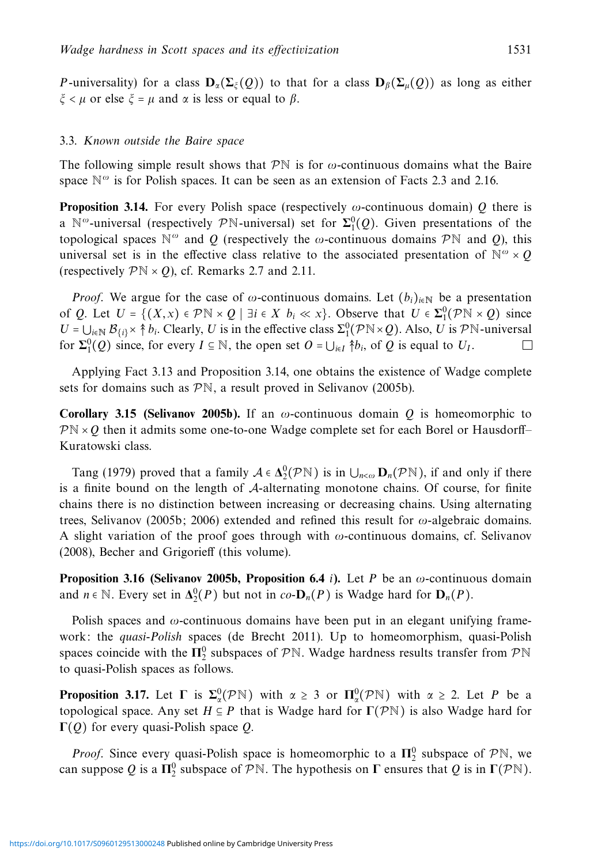*P*-universality) for a class  $\mathbf{D}_{\alpha}(\Sigma_{\xi}(Q))$  to that for a class  $\mathbf{D}_{\beta}(\Sigma_{\mu}(Q))$  as long as either *ξ* < *μ* or else *ξ* = *μ* and *α* is less or equal to *β*.

#### 3.3. Known outside the Baire space

The following simple result shows that  $\mathcal{P}N$  is for  $\omega$ -continuous domains what the Baire space  $\mathbb{N}^{\omega}$  is for Polish spaces. It can be seen as an extension of Facts 2.3 and 2.16.

**Proposition 3.14.** For every Polish space (respectively *ω*-continuous domain) *Q* there is a  $\mathbb{N}^{\omega}$ -universal (respectively PN-universal) set for  $\Sigma_1^0(Q)$ . Given presentations of the topological spaces  $\mathbb{N}^{\omega}$  and *Q* (respectively the  $\omega$ -continuous domains  $\mathcal{P}\mathbb{N}$  and *Q*), this universal set is in the effective class relative to the associated presentation of  $\mathbb{N}^{\omega} \times Q$ (respectively  $\mathcal{P}\mathbb{N} \times Q$ ), cf. Remarks 2.7 and 2.11.

*Proof.* We argue for the case of  $\omega$ -continuous domains. Let  $(b_i)_{i\in\mathbb{N}}$  be a presentation of *Q*. Let *U* = { $(X, x) \in \mathcal{P}\mathbb{N} \times Q$  | ∃*i* ∈ *X b<sub>i</sub>* ≪ *x*}. Observe that *U* ∈  $\Sigma_1^0(\mathcal{P}\mathbb{N} \times Q)$  since  $U = \bigcup_{i \in \mathbb{N}} \mathcal{B}_{\{i\}} \times \uparrow b_i$ . Clearly, *U* is in the effective class  $\Sigma_1^0(\mathcal{P}N \times Q)$ . Also, *U* is  $\mathcal{P}N$ -universal for  $\Sigma_1^0(Q)$  since, for every  $I \subseteq \mathbb{N}$ , the open set  $O = \bigcup_{i \in I} \{b_i\}$ , of  $Q$  is equal to  $U_I$ .

Applying Fact 3.13 and Proposition 3.14, one obtains the existence of Wadge complete sets for domains such as PN, a result proved in Selivanov (2005b).

**Corollary 3.15 (Selivanov 2005b).** If an *ω*-continuous domain *Q* is homeomorphic to  $\mathcal{P}N \times Q$  then it admits some one-to-one Wadge complete set for each Borel or Hausdorff– Kuratowski class.

Tang (1979) proved that a family  $A \in \Delta_2^0(\mathcal{P}N)$  is in  $\bigcup_{n < \omega} \mathbf{D}_n(\mathcal{P}N)$ , if and only if there is a finite bound on the length of A-alternating monotone chains. Of course, for finite chains there is no distinction between increasing or decreasing chains. Using alternating trees, Selivanov (2005b; 2006) extended and refined this result for *ω*-algebraic domains. A slight variation of the proof goes through with *ω*-continuous domains, cf. Selivanov (2008), Becher and Grigorieff (this volume).

**Proposition 3.16 (Selivanov 2005b, Proposition 6.4** *i***).** Let *P* be an *ω*-continuous domain and  $n \in \mathbb{N}$ . Every set in  $\Delta_2^0(P)$  but not in  $co$ - $\mathbf{D}_n(P)$  is Wadge hard for  $\mathbf{D}_n(P)$ .

Polish spaces and *ω*-continuous domains have been put in an elegant unifying framework: the *quasi-Polish* spaces (de Brecht 2011). Up to homeomorphism, quasi-Polish spaces coincide with the  $\Pi_2^0$  subspaces of  $\mathcal{P}\mathbb{N}$ . Wadge hardness results transfer from  $\mathcal{P}\mathbb{N}$ to quasi-Polish spaces as follows.

**Proposition 3.17.** Let **Γ** is  $\Sigma^0_\alpha(P\mathbb{N})$  with  $\alpha \geq 3$  or  $\Pi^0_\alpha(P\mathbb{N})$  with  $\alpha \geq 2$ . Let *P* be a topological space. Any set  $H \subseteq P$  that is Wadge hard for **Γ**(PN) is also Wadge hard for **Γ**(*Q*) for every quasi-Polish space *Q*.

*Proof.* Since every quasi-Polish space is homeomorphic to a  $\Pi_2^0$  subspace of  $\mathcal{P}\mathbb{N}$ , we can suppose *Q* is a  $\Pi_2^0$  subspace of  $\mathcal{P}\mathbb{N}$ . The hypothesis on **Γ** ensures that *Q* is in  $\Gamma(\mathcal{P}\mathbb{N})$ .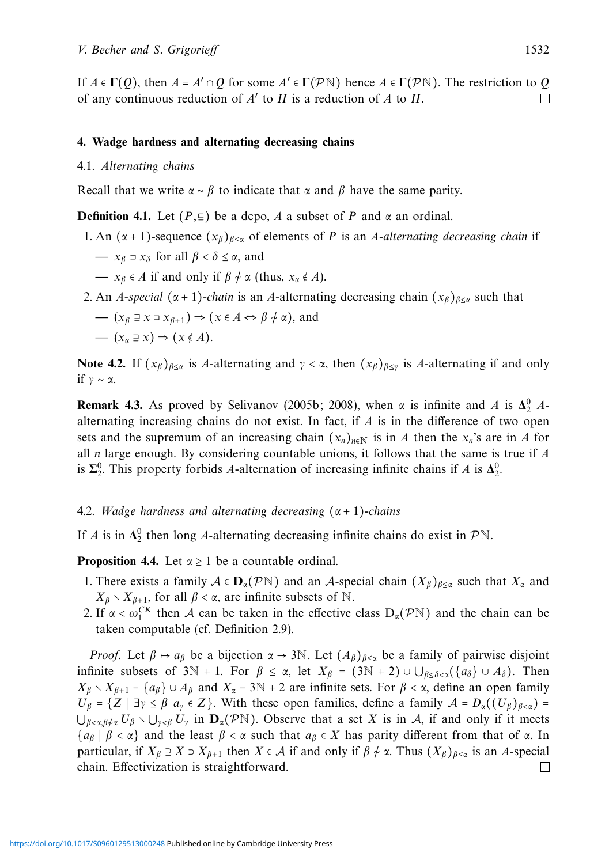If  $A \in \Gamma(Q)$ , then  $A = A' \cap Q$  for some  $A' \in \Gamma(\mathcal{P} \mathbb{N})$  hence  $A \in \Gamma(\mathcal{P} \mathbb{N})$ . The restriction to *Q* of any continuous reduction of *A'* to *H* is a reduction of *A* to *H*. of any continuous reduction of *A*′ to *H* is a reduction of *A* to *H*.

# **4. Wadge hardness and alternating decreasing chains**

#### 4.1. Alternating chains

Recall that we write  $\alpha \sim \beta$  to indicate that  $\alpha$  and  $\beta$  have the same parity.

**Definition 4.1.** Let  $(P, \subseteq)$  be a dcpo, *A* a subset of *P* and *α* an ordinal.

1. An  $(\alpha + 1)$ -sequence  $(x_\beta)_{\beta \leq \alpha}$  of elements of *P* is an *A*-alternating decreasing chain if

$$
- x_{\beta} \supset x_{\delta} \text{ for all } \beta < \delta \le \alpha, \text{ and}
$$

- *x*<sub>β</sub> ∈ *A* if and only if  $β \nmid α$  (thus,  $x_α \notin A$ ).
- 2. An *A*-special ( $\alpha$  + 1)-chain is an *A*-alternating decreasing chain  $(x_\beta)_{\beta \leq \alpha}$  such that

$$
- (x_{\beta} \supseteq x \supseteq x_{\beta+1}) \Rightarrow (x \in A \Leftrightarrow \beta \neq \alpha), \text{ and}
$$

$$
- (x_{\alpha} \supseteq x) \Rightarrow (x \notin A).
$$

**Note 4.2.** If  $(x_\beta)_{\beta \leq \alpha}$  is *A*-alternating and  $\gamma < \alpha$ , then  $(x_\beta)_{\beta \leq \gamma}$  is *A*-alternating if and only if *γ* ∼ *α*.

**Remark 4.3.** As proved by Selivanov (2005b; 2008), when  $\alpha$  is infinite and *A* is  $\Delta_2^0$  *A*alternating increasing chains do not exist. In fact, if *A* is in the difference of two open sets and the supremum of an increasing chain  $(x_n)_{n\in\mathbb{N}}$  is in *A* then the  $x_n$ 's are in *A* for all *n* large enough. By considering countable unions, it follows that the same is true if *A* is  $\Sigma^0_2$ . This property forbids *A*-alternation of increasing infinite chains if *A* is  $\Delta^0_2$ .

# 4.2. Wadge hardness and alternating decreasing (*α* + 1)-chains

If *A* is in  $\Delta_2^0$  then long *A*-alternating decreasing infinite chains do exist in  $\mathcal{P}\mathbb{N}$ .

**Proposition 4.4.** Let  $\alpha \geq 1$  be a countable ordinal.

- 1. There exists a family  $A \in \mathbf{D}_{\alpha}(\mathcal{P}N)$  and an A-special chain  $(X_{\beta})_{\beta \leq \alpha}$  such that  $X_{\alpha}$  and  $X_{\beta} \setminus X_{\beta+1}$ , for all  $\beta < \alpha$ , are infinite subsets of N.
- 2. If  $\alpha < \omega_1^{CK}$  then A can be taken in the effective class  $D_{\alpha}(\mathcal{P}N)$  and the chain can be taken computable (cf. Definition 2.9).

*Proof.* Let  $\beta \mapsto a_{\beta}$  be a bijection  $\alpha \to 3\mathbb{N}$ . Let  $(A_{\beta})_{\beta \leq \alpha}$  be a family of pairwise disjoint infinite subsets of  $3\mathbb{N} + 1$ . For  $\beta \leq \alpha$ , let  $X_{\beta} = (3\mathbb{N} + 2) \cup \bigcup_{\beta \leq \delta < \alpha} (\{a_{\delta}\} \cup A_{\delta})$ . Then  $X_\beta \setminus X_{\beta+1} = \{a_\beta\} \cup A_\beta$  and  $X_\alpha = 3\mathbb{N} + 2$  are infinite sets. For  $\beta < \alpha$ , define an open family  $U_\beta = \{Z \mid \exists \gamma \leq \beta \; a_\gamma \in Z\}$ . With these open families, define a family  $\mathcal{A} = D_\alpha((U_\beta)_{\beta \leq \alpha}) =$  $\bigcup_{\beta < \alpha, \beta \nmid \alpha} U_\beta \setminus \bigcup_{\gamma < \beta} U_\gamma$  in  $\mathbf{D}_\alpha(\mathcal{P}^{\mathbb{N}})$ . Observe that a set X is in A, if and only if it meets  ${a_{\beta} | \beta < \alpha}$  and the least  $\beta < \alpha$  such that  $a_{\beta} \in X$  has parity different from that of  $\alpha$ . In particular, if  $X_\beta \supseteq X \supseteq X_{\beta+1}$  then  $X \in \mathcal{A}$  if and only if  $\beta \neq \alpha$ . Thus  $(X_\beta)_{\beta \leq \alpha}$  is an *A*-special chain. Effectivization is straightforward. chain. Effectivization is straightforward.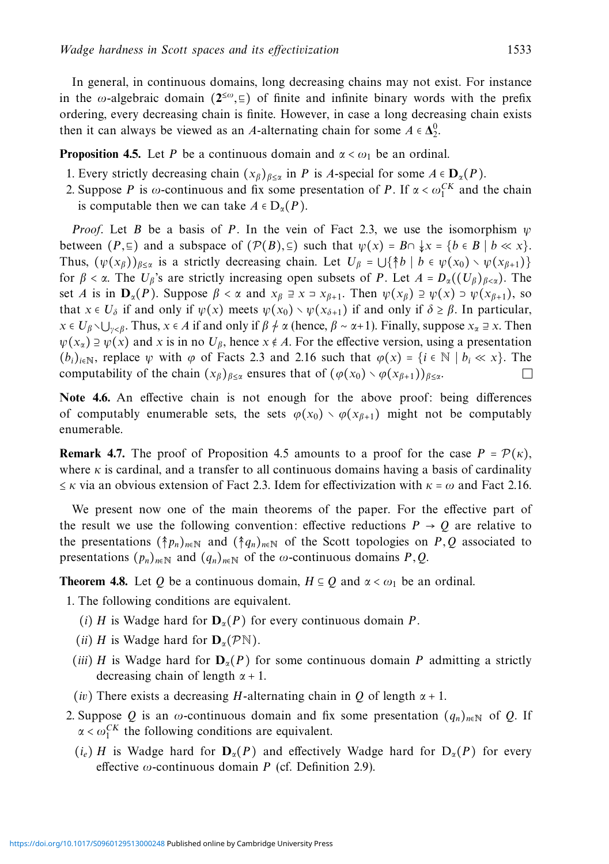In general, in continuous domains, long decreasing chains may not exist. For instance in the *ω*-algebraic domain ( $2<sup>{\leq} \omega, \equiv</sup>$ ) of finite and infinite binary words with the prefix ordering, every decreasing chain is finite. However, in case a long decreasing chain exists then it can always be viewed as an *A*-alternating chain for some  $A \in \Delta_2^0$ .

**Proposition 4.5.** Let *P* be a continuous domain and  $\alpha < \omega_1$  be an ordinal.

- 1. Every strictly decreasing chain  $(x_\beta)_{\beta \leq \alpha}$  in *P* is *A*-special for some  $A \in \mathbf{D}_\alpha(P)$ .
- 2. Suppose *P* is  $\omega$ -continuous and fix some presentation of *P*. If  $\alpha < \omega_1^{CK}$  and the chain is computable then we can take  $A \in D_{\alpha}(P)$ .

*Proof.* Let *B* be a basis of *P*. In the vein of Fact 2.3, we use the isomorphism  $\psi$ between  $(P, \subseteq)$  and a subspace of  $(\mathcal{P}(B), \subseteq)$  such that  $\psi(x) = B \cap \{x \in \{b \in B \mid b \ll x\}.$ Thus,  $(\psi(x_\beta))_{\beta<\alpha}$  is a strictly decreasing chain. Let  $U_\beta = \bigcup {\{\uparrow\} b \mid b \in \psi(x_0) \setminus \psi(x_{\beta+1})\}$ for  $\beta < \alpha$ . The  $U_{\beta}$ 's are strictly increasing open subsets of *P*. Let  $A = D_{\alpha}((U_{\beta})_{\beta < \alpha})$ . The set *A* is in  $D_{\alpha}(P)$ . Suppose  $\beta < \alpha$  and  $x_{\beta} \ni x \ni x_{\beta+1}$ . Then  $\psi(x_{\beta}) \ni \psi(x) \ni \psi(x_{\beta+1})$ , so that  $x \in U_{\delta}$  if and only if  $\psi(x)$  meets  $\psi(x_0) \setminus \psi(x_{\delta+1})$  if and only if  $\delta \geq \beta$ . In particular, *x* ∈ *U*<sub>β</sub> ∖ ∪<sub>*γ*<β</sub>. Thus, *x* ∈ *A* if and only if  $\beta \neq \alpha$  (hence,  $\beta \sim \alpha + 1$ ). Finally, suppose  $x_{\alpha} \equiv x$ . Then  $\psi(x_\alpha) \supseteq \psi(x)$  and *x* is in no  $U_\beta$ , hence  $x \notin A$ . For the effective version, using a presentation  $(b_i)_{i \in \mathbb{N}}$ , replace *ψ* with  $\varphi$  of Facts 2.3 and 2.16 such that  $\varphi(x) = \{i \in \mathbb{N} \mid b_i \ll x\}$ . The computability of the chain  $(x_0)_{0 \le x}$  ensures that of  $(\varphi(x_0) \setminus \varphi(x_{0+1}))_{0 \le x}$ . computability of the chain  $(x_\beta)_{\beta \leq \alpha}$  ensures that of  $(\varphi(x_0) \setminus \varphi(x_{\beta+1}))_{\beta \leq \alpha}$ .

**Note 4.6.** An effective chain is not enough for the above proof: being differences of computably enumerable sets, the sets  $\varphi(x_0) \setminus \varphi(x_{\beta+1})$  might not be computably enumerable.

**Remark 4.7.** The proof of Proposition 4.5 amounts to a proof for the case  $P = \mathcal{P}(\kappa)$ , where  $\kappa$  is cardinal, and a transfer to all continuous domains having a basis of cardinality  $\leq$  *κ* via an obvious extension of Fact 2.3. Idem for effectivization with  $\kappa = \omega$  and Fact 2.16.

We present now one of the main theorems of the paper. For the effective part of the result we use the following convention: effective reductions  $P \rightarrow Q$  are relative to the presentations  $({\uparrow} p_n)_{n \in \mathbb{N}}$  and  $({\uparrow} q_n)_{n \in \mathbb{N}}$  of the Scott topologies on *P*, *Q* associated to presentations  $(p_n)_{n \in \mathbb{N}}$  and  $(q_n)_{n \in \mathbb{N}}$  of the *ω*-continuous domains *P*, *Q*.

**Theorem 4.8.** Let *Q* be a continuous domain,  $H \subseteq Q$  and  $\alpha < \omega_1$  be an ordinal.

1. The following conditions are equivalent.

- (*i*) *H* is Wadge hard for  $D_\alpha(P)$  for every continuous domain *P*.
- (*ii*) *H* is Wadge hard for  $\mathbf{D}_{\alpha}(\mathcal{P}N)$ .
- (*iii*) *H* is Wadge hard for  $\mathbf{D}_{\alpha}(P)$  for some continuous domain *P* admitting a strictly decreasing chain of length *α* + 1.
- (*iv*) There exists a decreasing *H*-alternating chain in *Q* of length *α* + 1.
- 2. Suppose *Q* is an  $\omega$ -continuous domain and fix some presentation  $(q_n)_{n \in \mathbb{N}}$  of *Q*. If  $\alpha < \omega_1^{CK}$  the following conditions are equivalent.
	- $(i_e)$  *H* is Wadge hard for  $D_\alpha(P)$  and effectively Wadge hard for  $D_\alpha(P)$  for every effective *ω*-continuous domain *P* (cf. Definition 2.9).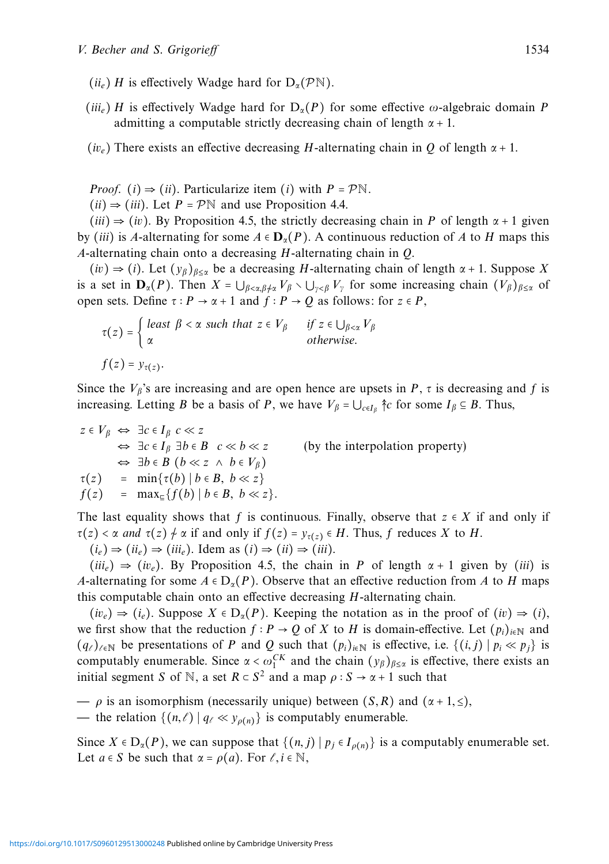- $(i\omega_e)$  *H* is effectively Wadge hard for  $D_\alpha(\mathcal{P}N)$ .
- (*iii<sub>e</sub>*) *H* is effectively Wadge hard for  $D_{\alpha}(P)$  for some effective  $\omega$ -algebraic domain *P* admitting a computable strictly decreasing chain of length *α* + 1.
- (*ive*) There exists an effective decreasing *H*-alternating chain in *Q* of length *α* + 1.

*Proof.* (*i*)  $\Rightarrow$  (*ii*). Particularize item (*i*) with  $P = \mathcal{P}\mathbb{N}$ .

 $(ii) \Rightarrow (iii)$ . Let  $P = \mathcal{P} \mathbb{N}$  and use Proposition 4.4.

 $(iii) \Rightarrow (iv)$ . By Proposition 4.5, the strictly decreasing chain in *P* of length  $\alpha + 1$  given by (*iii*) is *A*-alternating for some  $A \in \mathbf{D}_\alpha(P)$ . A continuous reduction of *A* to *H* maps this *A*-alternating chain onto a decreasing *H*-alternating chain in *Q*.

 $(iv) \Rightarrow (i)$ . Let  $(y_\beta)_{\beta \leq \alpha}$  be a decreasing *H*-alternating chain of length  $\alpha + 1$ . Suppose *X* is a set in  $\mathbf{D}_{\alpha}(P)$ . Then  $X = \bigcup_{\beta < \alpha, \beta \neq \alpha} V_{\beta} \setminus \bigcup_{\gamma < \beta} V_{\gamma}$  for some increasing chain  $(V_{\beta})_{\beta \leq \alpha}$  of open sets. Define  $\tau : P \to \alpha + 1$  and  $f : P \to Q$  as follows: for  $z \in P$ ,

$$
\tau(z) = \begin{cases} \text{least } \beta < \alpha \text{ such that } z \in V_{\beta} & \text{if } z \in \bigcup_{\beta < \alpha} V_{\beta} \\ \alpha & \text{otherwise.} \end{cases}
$$
\n
$$
f(z) = y_{\tau(z)}.
$$

Since the  $V_\beta$ 's are increasing and are open hence are upsets in *P*,  $\tau$  is decreasing and *f* is increasing. Letting *B* be a basis of *P*, we have  $V_\beta = \bigcup_{c \in I_\beta} \hat{\uparrow}c$  for some  $I_\beta \subseteq B$ . Thus,

*z* ∈ *Vβ* ⇔ ∃*c* ∈ *Iβ c* ≪ *z*  $\Leftrightarrow \exists c \in I_\beta \exists b \in B \ c \ll b \ll z$  (by the interpolation property) ⇔ ∃*b* ∈ *B* (*b* ≪ *z* ∧ *b* ∈ *Vβ*)  $\tau(z) = \min{\tau(b) | b \in B, b \ll z}$ <br>  $f(z) = \max_{\tau} {f(b) | b \in B, b \ll z}$  $=$  max<sub>⊑</sub>{*f*(*b*) | *b*  $\in$  *B*, *b*  $\ll$  *z*}*.* 

The last equality shows that *f* is continuous. Finally, observe that  $z \in X$  if and only if  $\tau(z) < \alpha$  and  $\tau(z) \neq \alpha$  if and only if  $f(z) = y_{\tau(z)} \in H$ . Thus, f reduces *X* to *H*.

 $(i_e) \Rightarrow (ii_e) \Rightarrow (iii_e)$ . Idem as  $(i) \Rightarrow (ii) \Rightarrow (iii)$ .

 $(iii_e) \Rightarrow (iv_e)$ . By Proposition 4.5, the chain in *P* of length  $\alpha + 1$  given by (*iii*) is *A*-alternating for some  $A \in D_{\alpha}(P)$ . Observe that an effective reduction from *A* to *H* maps this computable chain onto an effective decreasing *H*-alternating chain.

 $(iv_e) \Rightarrow (i_e)$ . Suppose  $X \in D_\alpha(P)$ . Keeping the notation as in the proof of  $(iv) \Rightarrow (i)$ , we first show that the reduction  $f : P \to Q$  of *X* to *H* is domain-effective. Let  $(p_i)_{i \in \mathbb{N}}$  and  $(q_{\ell})_{\ell \in \mathbb{N}}$  be presentations of *P* and *Q* such that  $(p_i)_{i \in \mathbb{N}}$  is effective, i.e.  $\{(i, j) | p_i \ll p_j\}$  is computably enumerable. Since  $\alpha < \omega_1^{CK}$  and the chain  $(y_\beta)_{\beta \le \alpha}$  is effective, there exists an initial segment *S* of N, a set  $R \subset S^2$  and a map  $\rho : S \to \alpha + 1$  such that

 $\rho$  is an isomorphism (necessarily unique) between  $(S, R)$  and  $(\alpha + 1, \leq),$ — the relation  $\{(n,\ell) | q_{\ell} \ll y_{\rho(n)}\}$  is computably enumerable.

Since  $X \in D_\alpha(P)$ , we can suppose that  $\{(n, j) | p_j \in I_{\rho(n)}\}$  is a computably enumerable set. Let  $a \in S$  be such that  $\alpha = \rho(a)$ . For  $\ell, i \in \mathbb{N}$ ,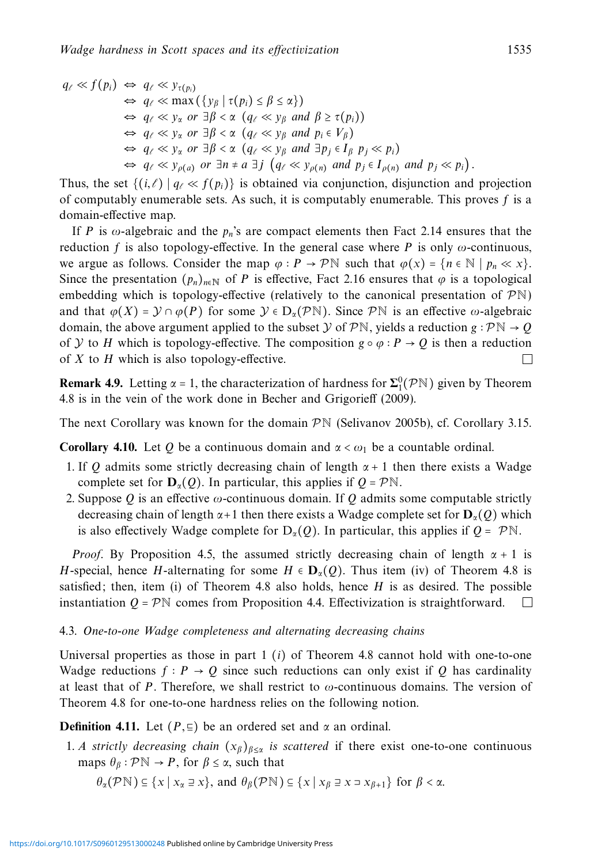$$
q_{\ell} \ll f(p_i) \Leftrightarrow q_{\ell} \ll y_{\tau(p_i)}
$$
  
\n
$$
\Leftrightarrow q_{\ell} \ll \max (\{y_{\beta} \mid \tau(p_i) \le \beta \le \alpha\})
$$
  
\n
$$
\Leftrightarrow q_{\ell} \ll y_{\alpha} \text{ or } \exists \beta < \alpha \ (q_{\ell} \ll y_{\beta} \text{ and } \beta \ge \tau(p_i))
$$
  
\n
$$
\Leftrightarrow q_{\ell} \ll y_{\alpha} \text{ or } \exists \beta < \alpha \ (q_{\ell} \ll y_{\beta} \text{ and } p_i \in V_{\beta})
$$
  
\n
$$
\Leftrightarrow q_{\ell} \ll y_{\alpha} \text{ or } \exists \beta < \alpha \ (q_{\ell} \ll y_{\beta} \text{ and } \exists p_j \in I_{\beta} \ p_j \ll p_i)
$$
  
\n
$$
\Leftrightarrow q_{\ell} \ll y_{\rho(a)} \text{ or } \exists n \ne a \exists j \ (q_{\ell} \ll y_{\rho(n)} \text{ and } p_j \in I_{\rho(n)} \text{ and } p_j \ll p_i).
$$

Thus, the set  $\{(i,\ell) | q_\ell \ll f(p_i)\}$  is obtained via conjunction, disjunction and projection of computably enumerable sets. As such, it is computably enumerable. This proves *f* is a domain-effective map.

If *P* is  $\omega$ -algebraic and the  $p_n$ 's are compact elements then Fact 2.14 ensures that the reduction *f* is also topology-effective. In the general case where *P* is only  $\omega$ -continuous, we argue as follows. Consider the map  $\varphi : P \to \mathcal{P} \mathbb{N}$  such that  $\varphi(x) = \{n \in \mathbb{N} \mid p_n \ll x\}.$ Since the presentation  $(p_n)_{n \in \mathbb{N}}$  of *P* is effective, Fact 2.16 ensures that  $\varphi$  is a topological embedding which is topology-effective (relatively to the canonical presentation of  $\mathcal{P}N$ ) and that  $\varphi(X) = \mathcal{Y} \cap \varphi(P)$  for some  $\mathcal{Y} \in D_{\alpha}(\mathcal{P}N)$ . Since  $\mathcal{P}N$  is an effective  $\omega$ -algebraic domain, the above argument applied to the subset  $\mathcal{Y}$  of  $\mathcal{P}\mathbb{N}$ , yields a reduction *g* ∶  $\mathcal{P}\mathbb{N} \to \mathcal{Q}$ of *y* to *H* which is topology-effective. The composition  $g \circ \varphi : P \to Q$  is then a reduction of *X* to *H* which is also topology-effective of *X* to *H* which is also topology-effective.

**Remark 4.9.** Letting  $\alpha = 1$ , the characterization of hardness for  $\Sigma_1^0(\mathcal{P}N)$  given by Theorem 4.8 is in the vein of the work done in Becher and Grigorieff (2009).

The next Corollary was known for the domain  $\mathcal{P}N$  (Selivanov 2005b), cf. Corollary 3.15.

**Corollary 4.10.** Let *Q* be a continuous domain and  $\alpha < \omega_1$  be a countable ordinal.

- 1. If Q admits some strictly decreasing chain of length  $\alpha + 1$  then there exists a Wadge complete set for  $D_\alpha(Q)$ . In particular, this applies if  $Q = \mathcal{P}N$ .
- 2. Suppose *Q* is an effective *ω*-continuous domain. If *Q* admits some computable strictly decreasing chain of length *α*+1 then there exists a Wadge complete set for **D***α*(*Q*) which is also effectively Wadge complete for  $D_\alpha(Q)$ . In particular, this applies if  $Q = \mathcal{P} \mathbb{N}$ .

*Proof.* By Proposition 4.5, the assumed strictly decreasing chain of length  $\alpha + 1$  is *H*-special, hence *H*-alternating for some  $H \in \mathbf{D}_\alpha(Q)$ . Thus item (iv) of Theorem 4.8 is satisfied; then, item (i) of Theorem 4.8 also holds, hence *H* is as desired. The possible instantiation  $Q = \mathcal{P} \mathbb{N}$  comes from Proposition 4.4. Effectivization is straightforward.  $\Box$ 

#### 4.3. One-to-one Wadge completeness and alternating decreasing chains

Universal properties as those in part 1 (*i*) of Theorem 4.8 cannot hold with one-to-one Wadge reductions  $f : P \to Q$  since such reductions can only exist if Q has cardinality at least that of *P*. Therefore, we shall restrict to  $\omega$ -continuous domains. The version of Theorem 4.8 for one-to-one hardness relies on the following notion.

**Definition 4.11.** Let  $(P, \subseteq)$  be an ordered set and  $\alpha$  an ordinal.

1. A strictly decreasing chain  $(x_\beta)_{\beta \leq \alpha}$  is scattered if there exist one-to-one continuous maps  $\theta_{\beta} : \mathcal{P} \mathbb{N} \to P$ , for  $\beta \leq \alpha$ , such that

 $\theta_{\alpha}(\mathcal{P}N) \subseteq \{x \mid x_{\alpha} \supseteq x\}$ , and  $\theta_{\beta}(\mathcal{P}N) \subseteq \{x \mid x_{\beta} \supseteq x \supseteq x_{\beta+1}\}$  for  $\beta < \alpha$ .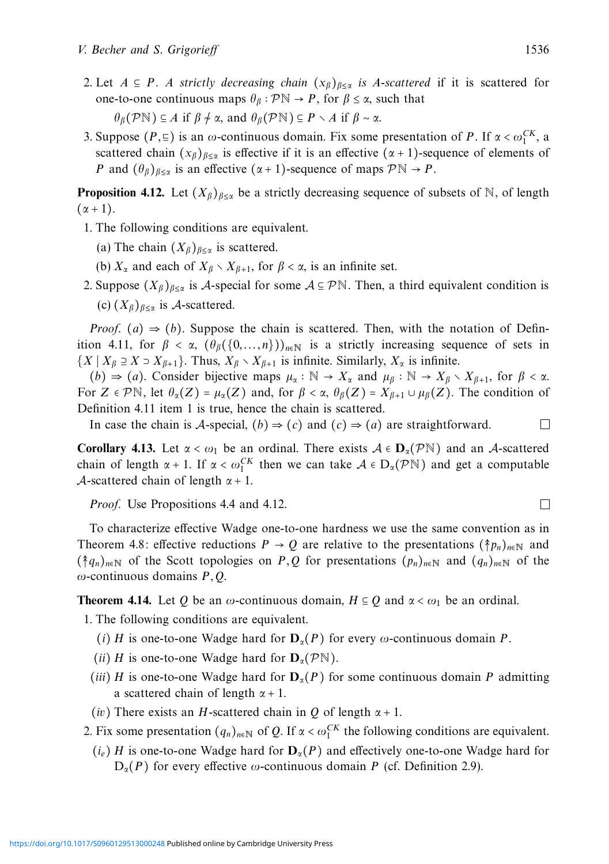2. Let  $A \subseteq P$ . A strictly decreasing chain  $(x_\beta)_{\beta \leq \alpha}$  is A-scattered if it is scattered for one-to-one continuous maps  $\theta_{\beta} : \mathcal{P} \mathbb{N} \to P$ , for  $\beta \leq \alpha$ , such that

*θβ*(PN) ⊆ *A* if *β* ∼/ *α*, and *θβ*(PN) ⊆ *P* ∖ *A* if *β* ∼ *α*.

3. Suppose  $(P, \underline{\epsilon})$  is an *ω*-continuous domain. Fix some presentation of *P*. If  $\alpha < \omega_1^{CK}$ , a scattered chain  $(x_\beta)_{\beta<\alpha}$  is effective if it is an effective  $(\alpha+1)$ -sequence of elements of *P* and  $(\theta_{\beta})_{\beta \leq \alpha}$  is an effective  $(\alpha + 1)$ -sequence of maps  $\mathcal{P} \mathbb{N} \to P$ .

**Proposition 4.12.** Let  $(X_\beta)_{\beta \leq \alpha}$  be a strictly decreasing sequence of subsets of N, of length  $(\alpha + 1)$ .

- 1. The following conditions are equivalent.
	- (a) The chain  $(X_\beta)_{\beta \leq \alpha}$  is scattered.
	- (b)  $X_\alpha$  and each of  $X_\beta \setminus X_{\beta+1}$ , for  $\beta < \alpha$ , is an infinite set.
- 2. Suppose  $(X_\beta)_{\beta \leq \alpha}$  is A-special for some  $A \subseteq \mathcal{P}\mathbb{N}$ . Then, a third equivalent condition is (c)  $(X_\beta)_{\beta \leq \alpha}$  is A-scattered.

*Proof.* (*a*)  $\Rightarrow$  (*b*). Suppose the chain is scattered. Then, with the notation of Definition 4.11, for  $\beta < \alpha$ ,  $(\theta_{\beta}(\{0,\ldots,n\}))_{n\in\mathbb{N}}$  is a strictly increasing sequence of sets in  ${X \mid X_\beta \supseteq X \supseteq X_{\beta+1}}$ . Thus,  $X_\beta \setminus X_{\beta+1}$  is infinite. Similarly,  $X_\alpha$  is infinite.

(*b*)  $\Rightarrow$  (*a*). Consider bijective maps  $\mu_{\alpha} : \mathbb{N} \to X_{\alpha}$  and  $\mu_{\beta} : \mathbb{N} \to X_{\beta} \setminus X_{\beta+1}$ , for  $\beta < \alpha$ . For  $Z \in \mathcal{P}\mathbb{N}$ , let  $\theta_{\alpha}(Z) = \mu_{\alpha}(Z)$  and, for  $\beta < \alpha$ ,  $\theta_{\beta}(Z) = X_{\beta+1} \cup \mu_{\beta}(Z)$ . The condition of Definition 4.11 item 1 is true, hence the chain is scattered.

In case the chain is A-special,  $(b) \Rightarrow (c)$  and  $(c) \Rightarrow (a)$  are straightforward.

**Corollary 4.13.** Let  $\alpha < \omega_1$  be an ordinal. There exists  $A \in \mathbf{D}_\alpha(\mathcal{P}N)$  and an A-scattered chain of length  $\alpha + 1$ . If  $\alpha < \omega_1^{CK}$  then we can take  $\mathcal{A} \in D_{\alpha}(\mathcal{P}N)$  and get a computable A-scattered chain of length  $\alpha + 1$ .

Proof. Use Propositions 4.4 and 4.12.

To characterize effective Wadge one-to-one hardness we use the same convention as in Theorem 4.8: effective reductions  $P \to Q$  are relative to the presentations  $(\hat{\uparrow} p_n)_{n \in \mathbb{N}}$  and  $(\dagger q_n)_{n\in\mathbb{N}}$  of the Scott topologies on *P*, *Q* for presentations  $(p_n)_{n\in\mathbb{N}}$  and  $(q_n)_{n\in\mathbb{N}}$  of the *ω*-continuous domains *P,Q*.

**Theorem 4.14.** Let *Q* be an *ω*-continuous domain,  $H \subseteq Q$  and  $\alpha < \omega_1$  be an ordinal.

1. The following conditions are equivalent.

- (*i*) *H* is one-to-one Wadge hard for  $D_\alpha(P)$  for every  $\omega$ -continuous domain *P*.
- (*ii*) *H* is one-to-one Wadge hard for  $D_{\alpha}(\mathcal{P}N)$ .
- (*iii*) *H* is one-to-one Wadge hard for  $D_\alpha(P)$  for some continuous domain *P* admitting a scattered chain of length *α* + 1.
- (*iv*) There exists an *H*-scattered chain in *Q* of length *α* + 1.

2. Fix some presentation  $(q_n)_{n \in \mathbb{N}}$  of *Q*. If  $\alpha < \omega_1^{CK}$  the following conditions are equivalent.

(*ie*) *H* is one-to-one Wadge hard for **D***α*(*P*) and effectively one-to-one Wadge hard for  $D_{\alpha}(P)$  for every effective *ω*-continuous domain *P* (cf. Definition 2.9).

 $\Box$ 

 $\Box$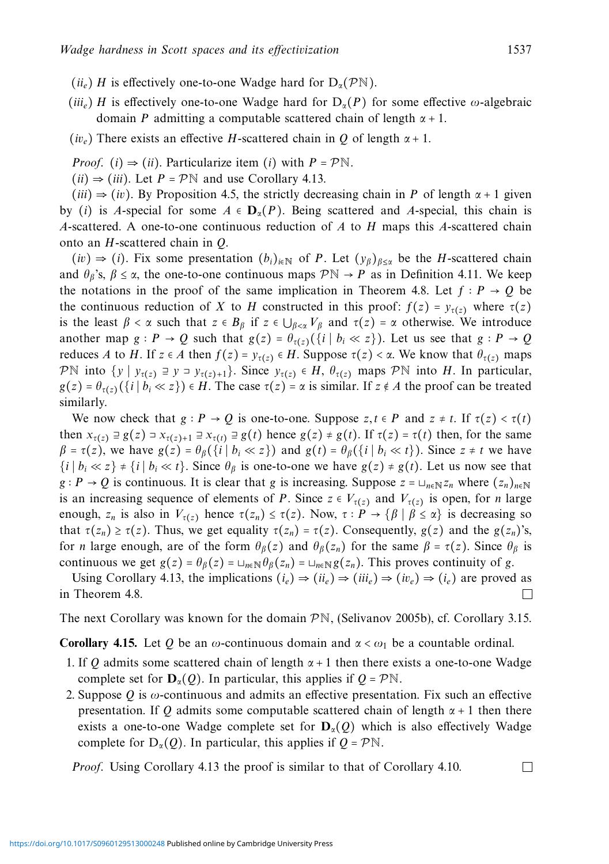- $(i\mathbf{i}_e)$  *H* is effectively one-to-one Wadge hard for  $D_\alpha(\mathcal{P}N)$ .
- (*iiie*) *H* is effectively one-to-one Wadge hard for D*α*(*P*) for some effective *ω*-algebraic domain *P* admitting a computable scattered chain of length *α* + 1.
- (*iv<sub>e</sub>*) There exists an effective *H*-scattered chain in *Q* of length  $\alpha + 1$ .
- *Proof.* (*i*)  $\Rightarrow$  (*ii*). Particularize item (*i*) with  $P = \mathcal{P}\mathbb{N}$ .
- $(iii) \Rightarrow (iii)$ . Let  $P = \mathcal{P} \mathbb{N}$  and use Corollary 4.13.

 $(iii) \Rightarrow (iv)$ . By Proposition 4.5, the strictly decreasing chain in *P* of length  $\alpha + 1$  given by (*i*) is *A*-special for some  $A \in \mathbf{D}_\alpha(P)$ . Being scattered and *A*-special, this chain is *A*-scattered. A one-to-one continuous reduction of *A* to *H* maps this *A*-scattered chain onto an *H*-scattered chain in *Q*.

 $(iv)$  ⇒ (*i*). Fix some presentation  $(b_i)_{i \in \mathbb{N}}$  of *P*. Let  $(y_\beta)_{\beta \leq \alpha}$  be the *H*-scattered chain and  $\theta_{\beta}$ 's,  $\beta \le \alpha$ , the one-to-one continuous maps  $\mathcal{P} \mathbb{N} \to P$  as in Definition 4.11. We keep the notations in the proof of the same implication in Theorem 4.8. Let  $f : P \to Q$  be the continuous reduction of *X* to *H* constructed in this proof:  $f(z) = y_{\tau(z)}$  where  $\tau(z)$ is the least  $\beta < \alpha$  such that  $z \in B_\beta$  if  $z \in \bigcup_{\beta < \alpha} V_\beta$  and  $\tau(z) = \alpha$  otherwise. We introduce another map  $g : P \to Q$  such that  $g(z) = \theta_{\tau(z)}(\{i \mid b_i \ll z\})$ . Let us see that  $g : P \to Q$ reduces *A* to *H*. If  $z \in A$  then  $f(z) = y_{\tau(z)} \in H$ . Suppose  $\tau(z) < \alpha$ . We know that  $\theta_{\tau(z)}$  maps PN into  $\{y \mid y_{\tau(z)} \supseteq y \supseteq y_{\tau(z)+1}\}$ . Since  $y_{\tau(z)} \in H$ ,  $\theta_{\tau(z)}$  maps PN into *H*. In particular,  $g(z) = \theta_{\tau(z)}(\{i \mid b_i \ll z\}) \in H$ . The case  $\tau(z) = \alpha$  is similar. If  $z \notin A$  the proof can be treated similarly.

We now check that  $g : P \to Q$  is one-to-one. Suppose  $z, t \in P$  and  $z \neq t$ . If  $\tau(z) < \tau(t)$ then  $x_{\tau(z)} \equiv g(z) = x_{\tau(z)+1} \equiv x_{\tau(t)} \equiv g(t)$  hence  $g(z) \neq g(t)$ . If  $\tau(z) = \tau(t)$  then, for the same  $\beta = \tau(z)$ , we have  $g(z) = \theta_{\beta}(\{i \mid b_i \ll z\})$  and  $g(t) = \theta_{\beta}(\{i \mid b_i \ll t\})$ . Since  $z \neq t$  we have  $\{i \mid b_i \ll z\} \neq \{i \mid b_i \ll t\}$ . Since  $\theta_\beta$  is one-to-one we have  $g(z) \neq g(t)$ . Let us now see that  $g : P \to Q$  is continuous. It is clear that *g* is increasing. Suppose  $z = \sqcup_{n \in \mathbb{N}} z_n$  where  $(z_n)_{n \in \mathbb{N}}$ is an increasing sequence of elements of *P*. Since  $z \in V_{\tau(z)}$  and  $V_{\tau(z)}$  is open, for *n* large enough,  $z_n$  is also in  $V_{\tau(z)}$  hence  $\tau(z_n) \leq \tau(z)$ . Now,  $\tau : P \to \{\beta \mid \beta \leq \alpha\}$  is decreasing so that *τ*(*z<sub>n</sub>*) ≥ *τ*(*z*). Thus, we get equality *τ*(*z<sub>n</sub>*) = *τ*(*z*). Consequently, *g*(*z*) and the *g*(*z<sub>n</sub>*)'s, for *n* large enough, are of the form  $\theta_{\beta}(z)$  and  $\theta_{\beta}(z_n)$  for the same  $\beta = \tau(z)$ . Since  $\theta_{\beta}$  is continuous we get  $g(z) = \theta_{\beta}(z) = \bigcup_{n \in \mathbb{N}} \theta_{\beta}(z_n) = \bigcup_{n \in \mathbb{N}} g(z_n)$ . This proves continuity of *g*.

Using Corollary 4.13, the implications  $(i_e) \Rightarrow (ii_e) \Rightarrow (iii_e) \Rightarrow (iv_e) \Rightarrow (i_e)$  are proved as Theorem 4.8. in Theorem 4.8.

The next Corollary was known for the domain  $\mathcal{P}\mathbb{N}$ , (Selivanov 2005b), cf. Corollary 3.15.

**Corollary 4.15.** Let *Q* be an *ω*-continuous domain and  $\alpha < \omega_1$  be a countable ordinal.

- 1. If *Q* admits some scattered chain of length *α* + 1 then there exists a one-to-one Wadge complete set for  $D_\alpha(Q)$ . In particular, this applies if  $Q = \mathcal{P}N$ .
- 2. Suppose *Q* is *ω*-continuous and admits an effective presentation. Fix such an effective presentation. If *Q* admits some computable scattered chain of length  $\alpha + 1$  then there exists a one-to-one Wadge complete set for  $D_\alpha(Q)$  which is also effectively Wadge complete for  $D_{\alpha}(Q)$ . In particular, this applies if  $Q = \mathcal{P} \mathbb{N}$ .

 $\Box$ Proof. Using Corollary 4.13 the proof is similar to that of Corollary 4.10.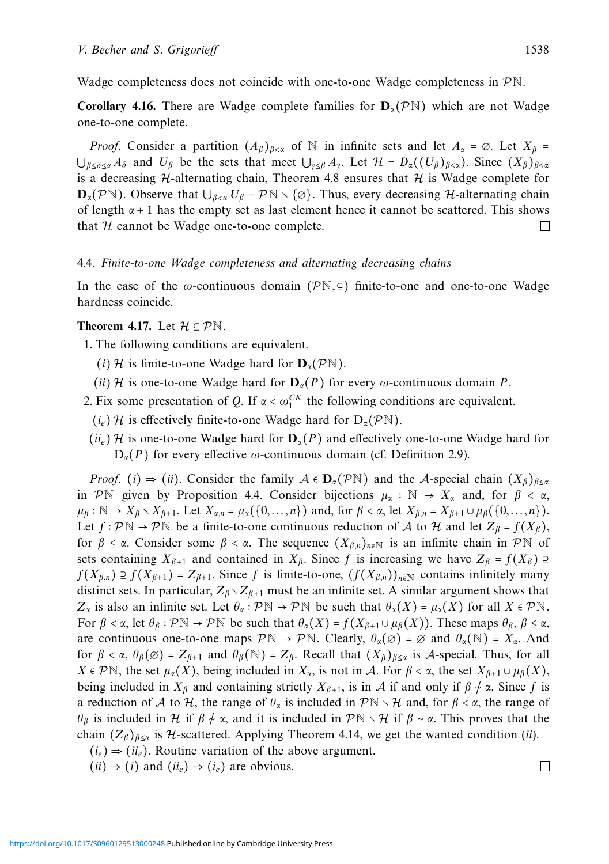**Corollary 4.16.** There are Wadge complete families for  $D_\alpha(\mathcal{P}N)$  which are not Wadge one-to-one complete.

*Proof.* Consider a partition  $(A_\beta)_{\beta<\alpha}$  of N in infinite sets and let  $A_\alpha = \emptyset$ . Let  $X_\beta =$  $\bigcup_{\beta < \delta < \alpha} A_{\delta}$  and  $U_{\beta}$  be the sets that meet  $\bigcup_{\gamma < \beta} A_{\gamma}$ . Let  $\mathcal{H} = D_{\alpha}((U_{\beta})_{\beta < \alpha})$ . Since  $(X_{\beta})_{\beta < \alpha}$ is a decreasing  $H$ -alternating chain, Theorem 4.8 ensures that  $H$  is Wadge complete for  $\mathbf{D}_{\alpha}(\mathcal{P}N)$ . Observe that  $\bigcup_{\beta<\alpha}U_{\beta}=\mathcal{P}N\setminus\{\emptyset\}$ . Thus, every decreasing H-alternating chain of length  $\alpha + 1$  has the empty set as last element hence it cannot be scattered. This shows that  $\mathcal H$  cannot be Wadge one-to-one complete. that  $H$  cannot be Wadge one-to-one complete.

# 4.4. Finite-to-one Wadge completeness and alternating decreasing chains

In the case of the  $\omega$ -continuous domain ( $\mathcal{P}N$ ,  $\subseteq$ ) finite-to-one and one-to-one Wadge hardness coincide.

# **Theorem 4.17.** Let  $\mathcal{H} \subseteq \mathcal{P}\mathbb{N}$ .

- 1. The following conditions are equivalent.
	- (*i*) H is finite-to-one Wadge hard for  $D_{\alpha}(\mathcal{P}N)$ .
	- (*ii*) H is one-to-one Wadge hard for  $D_\alpha(P)$  for every  $\omega$ -continuous domain P.
- 2. Fix some presentation of *Q*. If  $\alpha < \omega_1^{CK}$  the following conditions are equivalent.
	- (*i<sub>e</sub>*) H is effectively finite-to-one Wadge hard for  $D_{\alpha}(\mathcal{P}N)$ .
- $(i\omega_e)$  H is one-to-one Wadge hard for  $D_\alpha(P)$  and effectively one-to-one Wadge hard for  $D_{\alpha}(P)$  for every effective *ω*-continuous domain (cf. Definition 2.9).

*Proof.* (*i*)  $\Rightarrow$  (*ii*). Consider the family  $A \in \mathbf{D}_\alpha(\mathcal{P} \mathbb{N})$  and the A-special chain  $(X_\beta)_{\beta < \alpha}$ in PN given by Proposition 4.4. Consider bijections  $\mu_{\alpha} : \mathbb{N} \to X_{\alpha}$  and, for  $\beta < \alpha$ ,  $\mu_{\beta}: \mathbb{N} \to X_{\beta} \setminus X_{\beta+1}.$  Let  $X_{\alpha,n} = \mu_{\alpha}(\{0,\ldots,n\})$  and, for  $\beta < \alpha$ , let  $X_{\beta,n} = X_{\beta+1} \cup \mu_{\beta}(\{0,\ldots,n\}).$ Let  $f : \mathcal{P} \mathbb{N} \to \mathcal{P} \mathbb{N}$  be a finite-to-one continuous reduction of A to H and let  $Z_\beta = f(X_\beta)$ , for  $\beta \leq \alpha$ . Consider some  $\beta < \alpha$ . The sequence  $(X_{\beta,n})_{n\in\mathbb{N}}$  is an infinite chain in PN of sets containing  $X_{\beta+1}$  and contained in  $X_{\beta}$ . Since f is increasing we have  $Z_{\beta} = f(X_{\beta}) \supseteq$ *f*(*X<sub>β,n</sub>*) ⊇ *f*(*X<sub>β+1</sub>*) = *Z<sub>β+1</sub>*. Since *f* is finite-to-one,  $(f(X_{\beta,n}))_{n \in \mathbb{N}}$  contains infinitely many distinct sets. In particular,  $Z_{\beta} \setminus Z_{\beta+1}$  must be an infinite set. A similar argument shows that *Z<sub>α</sub>* is also an infinite set. Let  $θ_α : P\mathbb{N} \to P\mathbb{N}$  be such that  $θ_α(X) = μ_α(X)$  for all  $X ∈ P\mathbb{N}$ . For  $\beta < \alpha$ , let  $\theta_{\beta} : \mathcal{P} \mathbb{N} \to \mathcal{P} \mathbb{N}$  be such that  $\theta_{\alpha}(X) = f(X_{\beta+1} \cup \mu_{\beta}(X))$ . These maps  $\theta_{\beta}, \beta \leq \alpha$ , are continuous one-to-one maps  $\mathcal{P}\mathbb{N} \to \mathcal{P}\mathbb{N}$ . Clearly,  $\theta_\alpha(\emptyset) = \emptyset$  and  $\theta_\alpha(\mathbb{N}) = X_\alpha$ . And for  $\beta < \alpha$ ,  $\theta_{\beta}(\emptyset) = Z_{\beta+1}$  and  $\theta_{\beta}(\mathbb{N}) = Z_{\beta}$ . Recall that  $(X_{\beta})_{\beta \leq \alpha}$  is A-special. Thus, for all  $X \in \mathcal{P} \mathbb{N}$ , the set  $\mu_{\alpha}(X)$ , being included in  $X_{\alpha}$ , is not in A. For  $\beta < \alpha$ , the set  $X_{\beta+1} \cup \mu_{\beta}(X)$ , being included in  $X_\beta$  and containing strictly  $X_{\beta+1}$ , is in A if and only if  $\beta \neq \alpha$ . Since f is a reduction of A to H, the range of  $\theta_{\alpha}$  is included in  $\mathcal{P}\mathbb{N}\setminus\mathcal{H}$  and, for  $\beta<\alpha$ , the range of *θ*<sub>β</sub> is included in *H* if *β*  $\neq$  *α*, and it is included in PN  $\vee$  H if *β* ∼ *α*. This proves that the chain  $(Z_\beta)_{\beta \leq \alpha}$  is H-scattered. Applying Theorem 4.14, we get the wanted condition (*ii*).

- $(i_e) \Rightarrow (ii_e)$ . Routine variation of the above argument.
- $(ii) \Rightarrow (i)$  and  $(ii_e) \Rightarrow (i_e)$  are obvious.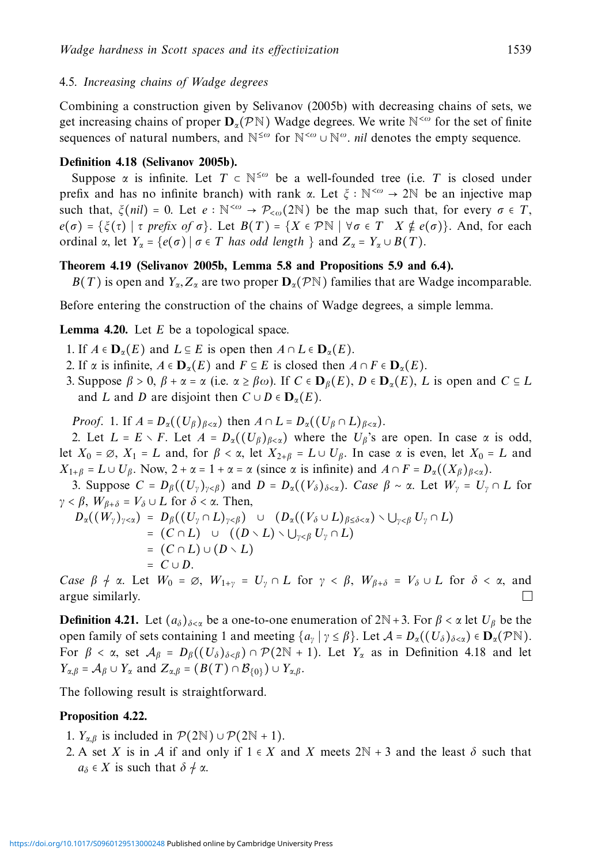### 4.5. Increasing chains of Wadge degrees

Combining a construction given by Selivanov (2005b) with decreasing chains of sets, we get increasing chains of proper  $\mathbf{D}_{\alpha}(\mathcal{P}N)$  Wadge degrees. We write  $N^{<\omega}$  for the set of finite sequences of natural numbers, and N<sup>≤ω</sup> for N<sup><ω</sup> ∪ N<sup>ω</sup>. nil denotes the empty sequence.

# **Definition 4.18 (Selivanov 2005b).**

Suppose  $\alpha$  is infinite. Let  $T \subset \mathbb{N}^{\leq \omega}$  be a well-founded tree (i.e.  $T$  is closed under prefix and has no infinite branch) with rank *<sup>α</sup>*. Let *<sup>ξ</sup>* <sup>∶</sup> <sup>N</sup><*<sup>ω</sup>* <sup>→</sup> <sup>2</sup><sup>N</sup> be an injective map such that,  $\xi$ (*nil*) = 0. Let  $e : \mathbb{N}^{<\omega} \to \mathcal{P}_{<\omega}$ (2N) be the map such that, for every  $\sigma \in T$ , *e*(*σ*) = { $ξ(τ) | τ prefix of σ$ }. Let  $B(T) = {X ∈ PN | ∤ σ ∈ T X ∉ e(σ)}$ }. And, for each ordinal  $\alpha$ , let  $Y_{\alpha} = \{e(\sigma) | \sigma \in T \text{ has odd length } \}$  and  $Z_{\alpha} = Y_{\alpha} \cup B(T)$ .

# **Theorem 4.19 (Selivanov 2005b, Lemma 5.8 and Propositions 5.9 and 6.4).**

*B*(*T*) is open and *Y<sub>α</sub>*,  $Z_\alpha$  are two proper  $\mathbf{D}_\alpha(\mathcal{P}N)$  families that are Wadge incomparable.

Before entering the construction of the chains of Wadge degrees, a simple lemma.

### **Lemma 4.20.** Let *E* be a topological space.

- 1. If  $A \in \mathbf{D}_{\alpha}(E)$  and  $L \subseteq E$  is open then  $A \cap L \in \mathbf{D}_{\alpha}(E)$ .
- 2. If  $\alpha$  is infinite,  $A \in \mathbf{D}_\alpha(E)$  and  $F \subseteq E$  is closed then  $A \cap F \in \mathbf{D}_\alpha(E)$ .
- 3. Suppose *β* > 0, *β* + *α* = *α* (i.e. *α* ≥ *βω*). If *C* ∈ **D***β*(*E*), *D* ∈ **D***α*(*E*), *L* is open and *C* ⊆ *L* and *L* and *D* are disjoint then  $C \cup D \in D_{\alpha}(E)$ .

*Proof.* 1. If  $A = D_{\alpha}((U_{\beta})_{\beta < \alpha})$  then  $A \cap L = D_{\alpha}((U_{\beta} \cap L)_{\beta < \alpha})$ .

2. Let  $L = E \setminus F$ . Let  $A = D_{\alpha}((U_{\beta})_{\beta < \alpha})$  where the  $U_{\beta}$ 's are open. In case  $\alpha$  is odd, let  $X_0 = \emptyset$ ,  $X_1 = L$  and, for  $\beta < \alpha$ , let  $X_{2+\beta} = L \cup U_\beta$ . In case  $\alpha$  is even, let  $X_0 = L$  and  $X_{1+\beta} = L \cup U_{\beta}$ . Now,  $2 + \alpha = 1 + \alpha = \alpha$  (since  $\alpha$  is infinite) and  $A \cap F = D_{\alpha}((X_{\beta})_{\beta < \alpha})$ .

3. Suppose  $C = D_\beta((U_\gamma)_{\gamma \leq \beta})$  and  $D = D_\alpha((V_\delta)_{\delta \leq \alpha})$ . Case  $\beta \sim \alpha$ . Let  $W_\gamma = U_\gamma \cap L$  for *γ* < *β*, *W*<sub>*B*+*δ*</sub> = *V*<sub>δ</sub> ∪ *L* for *δ* < *α*. Then,

$$
D_{\alpha}((W_{\gamma})_{\gamma<\alpha}) = D_{\beta}((U_{\gamma}\cap L)_{\gamma<\beta}) \cup (D_{\alpha}((V_{\delta}\cup L)_{\beta\leq\delta<\alpha})\setminus \bigcup_{\gamma<\beta}U_{\gamma}\cap L)
$$
  
\n
$$
= (C\cap L) \cup ((D\setminus L)\setminus \bigcup_{\gamma<\beta}U_{\gamma}\cap L)
$$
  
\n
$$
= (C\cap L) \cup (D\setminus L)
$$
  
\n
$$
= C \cup D.
$$

*Case β* → *α*. Let  $W_0 = \emptyset$ ,  $W_{1+\gamma} = U_\gamma \cap L$  for  $\gamma < \beta$ ,  $W_{\beta+\delta} = V_\delta \cup L$  for  $\delta < \alpha$ , and argue similarly.

**Definition 4.21.** Let  $(a_{\delta})_{\delta \leq \alpha}$  be a one-to-one enumeration of  $2N + 3$ . For  $\beta < \alpha$  let  $U_{\beta}$  be the open family of sets containing 1 and meeting  $\{a_{\nu} | \gamma \leq \beta\}$ . Let  $\mathcal{A} = D_{\alpha}((U_{\delta})_{\delta \leq \alpha}) \in \mathbf{D}_{\alpha}(\mathcal{P}^{\mathbb{N}})$ . For  $\beta < \alpha$ , set  $\mathcal{A}_{\beta} = D_{\beta}((U_{\delta})_{\delta < \beta}) \cap \mathcal{P}(2\mathbb{N} + 1)$ . Let  $Y_{\alpha}$  as in Definition 4.18 and let *Y*<sub>α,β</sub> =  $\mathcal{A}_{\beta} \cup Y_{\alpha}$  and  $Z_{\alpha,\beta} = (B(T) \cap \mathcal{B}_{\{0\}}) \cup Y_{\alpha,\beta}$ .

The following result is straightforward.

#### **Proposition 4.22.**

- 1.  $Y_{\alpha,\beta}$  is included in  $\mathcal{P}(2N) \cup \mathcal{P}(2N + 1)$ .
- 2. A set *X* is in *A* if and only if  $1 \in X$  and *X* meets  $2N + 3$  and the least  $\delta$  such that  $a_{\delta} \in X$  is such that  $\delta \neq \alpha$ .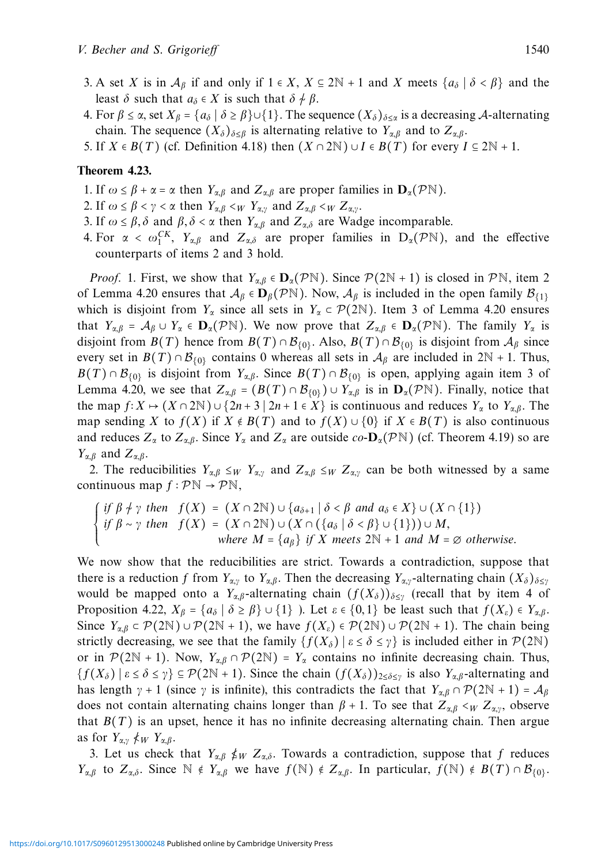- 3. A set *X* is in  $\mathcal{A}_{\beta}$  if and only if  $1 \in X$ ,  $X \subseteq 2N + 1$  and *X* meets  $\{a_{\delta} \mid \delta \leq \beta\}$  and the least  $\delta$  such that  $a_{\delta} \in X$  is such that  $\delta \neq \beta$ .
- 4. For  $\beta \le \alpha$ , set  $X_{\beta} = \{a_{\delta} \mid \delta \ge \beta\} \cup \{1\}$ . The sequence  $(X_{\delta})_{\delta \le \alpha}$  is a decreasing A-alternating chain. The sequence  $(X_{\delta})_{\delta \leq \beta}$  is alternating relative to  $Y_{\alpha,\beta}$  and to  $Z_{\alpha,\beta}$ .
- 5. If  $X \in B(T)$  (cf. Definition 4.18) then  $(X \cap 2N) \cup I \in B(T)$  for every  $I \subseteq 2N + 1$ .

# **Theorem 4.23.**

- 1. If  $\omega \leq \beta + \alpha = \alpha$  then  $Y_{\alpha,\beta}$  and  $Z_{\alpha,\beta}$  are proper families in  $\mathbf{D}_{\alpha}(\mathcal{P}N)$ .
- 2. If  $\omega \le \beta < \gamma < \alpha$  then  $Y_{\alpha,\beta} <_W Y_{\alpha,\gamma}$  and  $Z_{\alpha,\beta} <_W Z_{\alpha,\gamma}$ .
- 3. If  $\omega \le \beta$ ,  $\delta$  and  $\beta$ ,  $\delta < \alpha$  then  $Y_{\alpha,\beta}$  and  $Z_{\alpha,\delta}$  are Wadge incomparable.
- 4. For  $\alpha < \omega_1^{CK}$ ,  $Y_{\alpha,\beta}$  and  $Z_{\alpha,\delta}$  are proper families in  $D_{\alpha}(\mathcal{P}N)$ , and the effective counterparts of items 2 and 3 hold.

*Proof.* 1. First, we show that  $Y_{\alpha,\beta} \in \mathbf{D}_{\alpha}(\mathcal{P}N)$ . Since  $\mathcal{P}(2N+1)$  is closed in  $\mathcal{P}N$ , item 2 of Lemma 4.20 ensures that  $A_\beta \in \mathbf{D}_\beta(\mathcal{P} \mathbb{N})$ . Now,  $A_\beta$  is included in the open family  $\mathcal{B}_{\{1\}}$ which is disjoint from  $Y_\alpha$  since all sets in  $Y_\alpha \subset \mathcal{P}(2N)$ . Item 3 of Lemma 4.20 ensures that  $Y_{\alpha,\beta} = A_{\beta} \cup Y_{\alpha} \in \mathbf{D}_{\alpha}(\mathcal{P}N)$ . We now prove that  $Z_{\alpha,\beta} \in \mathbf{D}_{\alpha}(\mathcal{P}N)$ . The family  $Y_{\alpha}$  is disjoint from  $B(T)$  hence from  $B(T) \cap B_{\{0\}}$ . Also,  $B(T) \cap B_{\{0\}}$  is disjoint from  $A_\beta$  since every set in  $B(T) \cap B_{(0)}$  contains 0 whereas all sets in  $A_\beta$  are included in  $2N + 1$ . Thus, *B*(*T*)∩B<sub>{0}</sub> is disjoint from *Y<sub>α,β</sub>*. Since  $B(T) \cap B$ <sub>{0}</sub> is open, applying again item 3 of Lemma 4.20, we see that  $Z_{\alpha,\beta} = (B(T) \cap B_{\{0\}}) \cup Y_{\alpha,\beta}$  is in  $\mathbf{D}_{\alpha}(\mathcal{P}N)$ . Finally, notice that the map  $f: X \mapsto (X \cap 2\mathbb{N}) \cup \{2n + 3 \mid 2n + 1 \in X\}$  is continuous and reduces  $Y_\alpha$  to  $Y_{\alpha,\beta}$ . The map sending *X* to  $f(X)$  if  $X \notin B(T)$  and to  $f(X) \cup \{0\}$  if  $X \in B(T)$  is also continuous and reduces  $Z_\alpha$  to  $Z_{\alpha,\beta}$ . Since  $Y_\alpha$  and  $Z_\alpha$  are outside co- $\mathbf{D}_\alpha(\mathcal{P}^{\mathbb{N}})$  (cf. Theorem 4.19) so are *Yα,β* and *Zα,β*.

2. The reducibilities  $Y_{\alpha,\beta} \leq_W Y_{\alpha,\gamma}$  and  $Z_{\alpha,\beta} \leq_W Z_{\alpha,\gamma}$  can be both witnessed by a same continuous map  $f : \mathcal{P}\mathbb{N} \to \mathcal{P}\mathbb{N}$ ,

$$
\begin{cases} if \ \beta \neq \gamma \ then \ f(X) = (X \cap 2\mathbb{N}) \cup \{a_{\delta+1} \mid \delta < \beta \ and \ a_{\delta} \in X\} \cup (X \cap \{1\}) \\ if \ \beta \sim \gamma \ then \ f(X) = (X \cap 2\mathbb{N}) \cup (X \cap (\{a_{\delta} \mid \delta < \beta\} \cup \{1\})) \cup M, \\ \text{where } M = \{a_{\beta}\} \ if \ X \ meets \ 2\mathbb{N} + 1 \ and \ M = \emptyset \ otherwise. \end{cases}
$$

We now show that the reducibilities are strict. Towards a contradiction, suppose that there is a reduction *f* from  $Y_{\alpha,\gamma}$  to  $Y_{\alpha,\beta}$ . Then the decreasing  $Y_{\alpha,\gamma}$ -alternating chain  $(X_{\delta})_{\delta \leq \gamma}$ would be mapped onto a  $Y_{\alpha,\beta}$ -alternating chain  $(f(X_{\delta}))_{\delta\leq\gamma}$  (recall that by item 4 of Proposition 4.22,  $X_\beta = \{a_\delta \mid \delta \ge \beta\} \cup \{1\}$ . Let  $\varepsilon \in \{0,1\}$  be least such that  $f(X_\varepsilon) \in Y_{\alpha,\beta}$ . Since  $Y_{\alpha,\beta} \subset \mathcal{P}(2\mathbb{N}) \cup \mathcal{P}(2\mathbb{N} + 1)$ , we have  $f(X_{\varepsilon}) \in \mathcal{P}(2\mathbb{N}) \cup \mathcal{P}(2\mathbb{N} + 1)$ . The chain being strictly decreasing, we see that the family  $\{f(X_\delta) | \varepsilon \leq \delta \leq \gamma\}$  is included either in  $\mathcal{P}(2\mathbb{N})$ or in  $\mathcal{P}(2N + 1)$ . Now,  $Y_{\alpha,\beta} \cap \mathcal{P}(2N) = Y_{\alpha}$  contains no infinite decreasing chain. Thus,  ${f(X_\delta) | \varepsilon \leq \delta \leq \gamma} \subseteq \mathcal{P}(2N+1)$ . Since the chain  $(f(X_\delta))_{2 \leq \delta \leq \gamma}$  is also  $Y_{\alpha,\beta}$ -alternating and has length  $\gamma$  + 1 (since  $\gamma$  is infinite), this contradicts the fact that  $Y_{\alpha,\beta} \cap \mathcal{P}(2N + 1) = \mathcal{A}_{\beta}$ does not contain alternating chains longer than  $\beta + 1$ . To see that  $Z_{\alpha,\beta} <_{W} Z_{\alpha,\gamma}$ , observe that  $B(T)$  is an upset, hence it has no infinite decreasing alternating chain. Then argue as for  $Y_{\alpha,y} \nless \mu_W Y_{\alpha,\beta}$ .

3. Let us check that  $Y_{\alpha,\beta} \nleq_W Z_{\alpha,\delta}$ . Towards a contradiction, suppose that f reduces *Y<sub>α,β</sub>* to  $Z_{\alpha,\beta}$ . Since  $\mathbb{N} \notin Y_{\alpha,\beta}$  we have  $f(\mathbb{N}) \notin Z_{\alpha,\beta}$ . In particular,  $f(\mathbb{N}) \notin B(T) \cap B_{\{0\}}$ .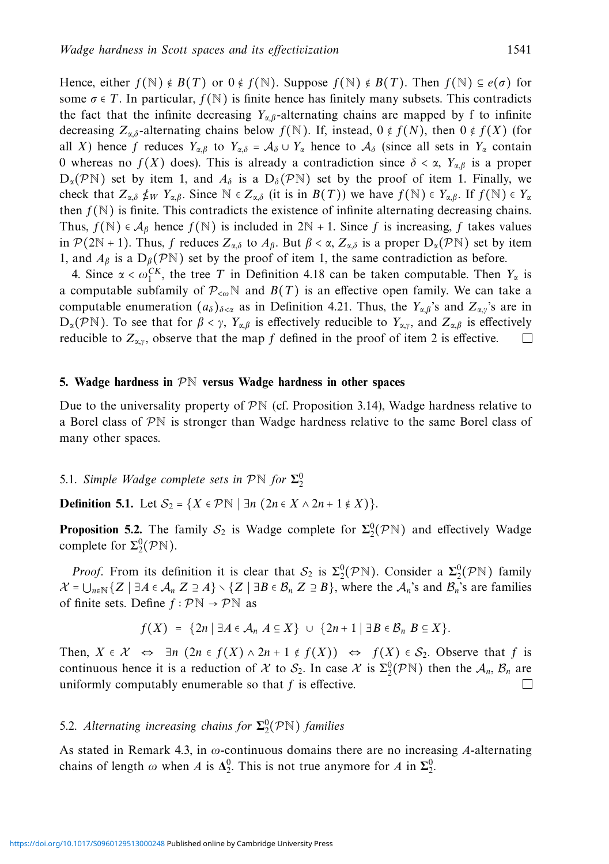Hence, either  $f(\mathbb{N}) \notin B(T)$  or  $0 \notin f(\mathbb{N})$ . Suppose  $f(\mathbb{N}) \notin B(T)$ . Then  $f(\mathbb{N}) \subseteq e(\sigma)$  for some  $\sigma \in T$ . In particular,  $f(\mathbb{N})$  is finite hence has finitely many subsets. This contradicts the fact that the infinite decreasing  $Y_{\alpha,\beta}$ -alternating chains are mapped by f to infinite decreasing  $Z_{\alpha,\delta}$ -alternating chains below  $f(\mathbb{N})$ . If, instead,  $0 \notin f(N)$ , then  $0 \notin f(X)$  (for all *X*) hence *f* reduces  $Y_{\alpha,\beta}$  to  $Y_{\alpha,\delta} = \mathcal{A}_{\delta} \cup Y_{\alpha}$  hence to  $\mathcal{A}_{\delta}$  (since all sets in  $Y_{\alpha}$  contain 0 whereas no *f*(*X*) does). This is already a contradiction since *δ* < *α*, *Yα,β* is a proper  $D_{\alpha}(\mathcal{P}N)$  set by item 1, and  $A_{\delta}$  is a  $D_{\delta}(\mathcal{P}N)$  set by the proof of item 1. Finally, we check that  $Z_{\alpha,\delta} \nleq_W Y_{\alpha,\beta}$ . Since  $N \in Z_{\alpha,\delta}$  (it is in  $B(T)$ ) we have  $f(N) \in Y_{\alpha,\beta}$ . If  $f(N) \in Y_{\alpha,\delta}$ then  $f(N)$  is finite. This contradicts the existence of infinite alternating decreasing chains. Thus,  $f(\mathbb{N}) \in \mathcal{A}_{\beta}$  hence  $f(\mathbb{N})$  is included in 2N + 1. Since *f* is increasing, *f* takes values in  $\mathcal{P}(2\mathbb{N} + 1)$ . Thus, *f* reduces  $Z_{\alpha,\delta}$  to  $A_{\beta}$ . But  $\beta < \alpha$ ,  $Z_{\alpha,\delta}$  is a proper  $D_{\alpha}(\mathcal{P}\mathbb{N})$  set by item 1, and  $A_\beta$  is a  $D_\beta(\mathcal{P}N)$  set by the proof of item 1, the same contradiction as before.

4. Since  $\alpha < \omega_1^{CK}$ , the tree *T* in Definition 4.18 can be taken computable. Then  $Y_\alpha$  is a computable subfamily of  $\mathcal{P}_{\leq \omega}$ <sup>N</sup> and  $B(T)$  is an effective open family. We can take a computable enumeration  $(a_{\delta})_{\delta \lt x}$  as in Definition 4.21. Thus, the  $Y_{\alpha,\beta}$ 's and  $Z_{\alpha,\gamma}$ 's are in  $D_{\alpha}(\mathcal{P}N)$ . To see that for  $\beta < \gamma$ ,  $Y_{\alpha,\beta}$  is effectively reducible to  $Y_{\alpha,\gamma}$ , and  $Z_{\alpha,\beta}$  is effectively reducible to  $Z_{\alpha,y}$ , observe that the map f defined in the proof of item 2 is effective.

#### **5. Wadge hardness in** PN **versus Wadge hardness in other spaces**

Due to the universality property of  $\mathcal{P}N$  (cf. Proposition 3.14), Wadge hardness relative to a Borel class of  $\mathcal{P}N$  is stronger than Wadge hardness relative to the same Borel class of many other spaces.

# 5.1. Simple Wadge complete sets in  $\mathcal{P} \mathbb{N}$  for  $\mathcal{L}_2^0$

**Definition 5.1.** Let  $S_2 = \{X \in \mathcal{P}\}$   $\exists n \ (2n \in X \land 2n + 1 \notin X)\}.$ 

**Proposition 5.2.** The family  $S_2$  is Wadge complete for  $\Sigma_2^0(\mathcal{P}N)$  and effectively Wadge complete for  $\Sigma^0_2(\mathcal{P}N)$ .

*Proof.* From its definition it is clear that  $S_2$  is  $\Sigma_2^0(\mathcal{P}N)$ . Consider a  $\Sigma_2^0(\mathcal{P}N)$  family  $\mathcal{X} = \bigcup_{n \in \mathbb{N}} {\{Z \mid \exists A \in \mathcal{A}_n Z \supseteq A\}} \setminus {\{Z \mid \exists B \in \mathcal{B}_n Z \supseteq B\}}$ , where the  $\mathcal{A}_n$ 's and  $\mathcal{B}_n$ 's are families of finite sets. Define  $f : \mathcal{P}\mathbb{N} \to \mathcal{P}\mathbb{N}$  as

$$
f(X) = \{2n \mid \exists A \in \mathcal{A}_n \ A \subseteq X\} \ \cup \ \{2n+1 \mid \exists B \in \mathcal{B}_n \ B \subseteq X\}.
$$

Then,  $X \in \mathcal{X} \iff \exists n \ (2n \in f(X) \land 2n + 1 \notin f(X)) \iff f(X) \in \mathcal{S}_2$ . Observe that *f* is continuous hence it is a reduction of X to  $S_2$ . In case X is  $\Sigma_2^0(\mathcal{P}N)$  then the  $\mathcal{A}_n$ ,  $\mathcal{B}_n$  are uniformly computably enumerable so that *f* is effective.

# 5.2. Alternating increasing chains for  $\Sigma^0_2(\mathcal{P}N)$  families

As stated in Remark 4.3, in *ω*-continuous domains there are no increasing *A*-alternating chains of length  $\omega$  when *A* is  $\Delta_2^0$ . This is not true anymore for *A* in  $\Sigma_2^0$ .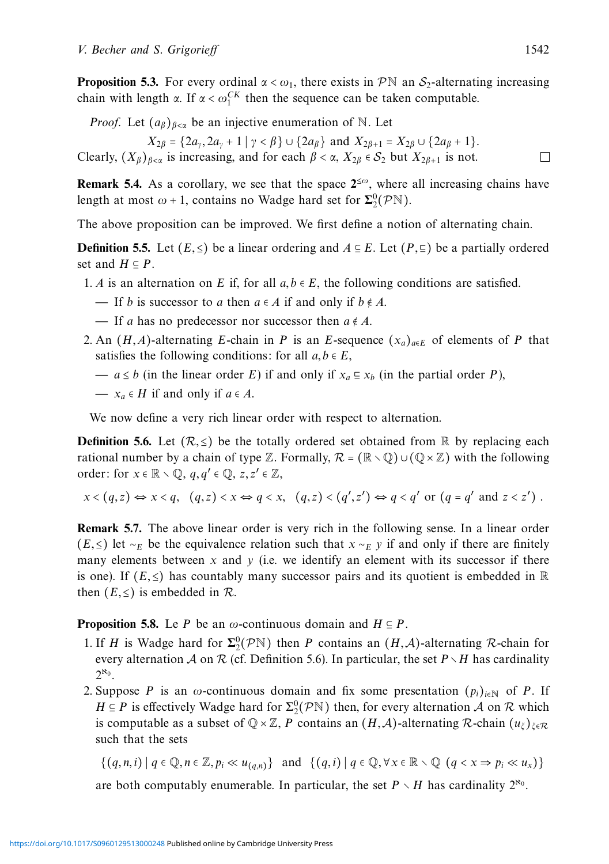**Proposition 5.3.** For every ordinal  $\alpha < \omega_1$ , there exists in PN an S<sub>2</sub>-alternating increasing chain with length *α*. If  $\alpha < \omega_1^{CK}$  then the sequence can be taken computable.

*Proof.* Let  $(a_{\beta})_{\beta \leq \alpha}$  be an injective enumeration of N. Let

 $X_{2\beta} = \{2a_{\gamma}, 2a_{\gamma} + 1 \mid \gamma < \beta\} \cup \{2a_{\beta}\}\$  and  $X_{2\beta+1} = X_{2\beta} \cup \{2a_{\beta} + 1\}.$ Clearly,  $(X_\beta)_{\beta<\alpha}$  is increasing, and for each  $\beta<\alpha$ ,  $X_{2\beta}\in S_2$  but  $X_{2\beta+1}$  is not.

**Remark 5.4.** As a corollary, we see that the space  $2^{\leq \omega}$ , where all increasing chains have length at most  $\omega$  + 1, contains no Wadge hard set for  $\Sigma^0_2(\mathcal{P}N)$ .

The above proposition can be improved. We first define a notion of alternating chain.

**Definition 5.5.** Let  $(E, \leq)$  be a linear ordering and  $A \subseteq E$ . Let  $(P, \subseteq)$  be a partially ordered set and  $H \subseteq P$ .

- 1. *A* is an alternation on *E* if, for all  $a, b \in E$ , the following conditions are satisfied.
	- If *b* is successor to *a* then  $a \in A$  if and only if  $b \notin A$ .
	- $\blacksquare$  If *a* has no predecessor nor successor then *a* ∉ *A*.
- 2. An  $(H, A)$ -alternating *E*-chain in *P* is an *E*-sequence  $(x_a)_{a \in E}$  of elements of *P* that satisfies the following conditions: for all  $a, b \in E$ ,
	- $a ≤ b$  (in the linear order *E*) if and only if  $x_a ⊆ x_b$  (in the partial order *P*),
	- $\rightarrow$  *x<sub>a</sub>* ∈ *H* if and only if *a* ∈ *A*.

We now define a very rich linear order with respect to alternation.

**Definition 5.6.** Let  $(\mathcal{R}, \leq)$  be the totally ordered set obtained from R by replacing each rational number by a chain of type Z. Formally,  $\mathcal{R} = (\mathbb{R} \setminus \mathbb{Q}) \cup (\mathbb{Q} \times \mathbb{Z})$  with the following order: for  $x \in \mathbb{R} \setminus \mathbb{Q}$ ,  $q, q' \in \mathbb{Q}$ ,  $z, z' \in \mathbb{Z}$ ,

$$
x < (q, z) \Leftrightarrow x < q, \quad (q, z) < x \Leftrightarrow q < x, \quad (q, z) < (q', z') \Leftrightarrow q < q' \text{ or } (q = q' \text{ and } z < z')
$$

**Remark 5.7.** The above linear order is very rich in the following sense. In a linear order (*E*, ≤) let ∼*E* be the equivalence relation such that *x* ∼*E y* if and only if there are finitely many elements between  $x$  and  $y$  (i.e. we identify an element with its successor if there is one). If  $(E, \le)$  has countably many successor pairs and its quotient is embedded in  $\mathbb R$ then  $(E, \leq)$  is embedded in  $\mathcal{R}$ .

#### **Proposition 5.8.** Le *P* be an  $\omega$ -continuous domain and  $H \subseteq P$ .

- 1. If *H* is Wadge hard for  $\Sigma_2^0(\mathcal{P}N)$  then *P* contains an  $(H,\mathcal{A})$ -alternating *R*-chain for every alternation A on R (cf. Definition 5.6). In particular, the set  $P \setminus H$  has cardinality  $2^{\aleph_0}$
- 2. Suppose *P* is an  $\omega$ -continuous domain and fix some presentation  $(p_i)_{i\in\mathbb{N}}$  of *P*. If *H*  $\subseteq$  *P* is effectively Wadge hard for  $\Sigma^0_2(\mathcal{P}N)$  then, for every alternation *A* on *R* which is computable as a subset of  $\mathbb{Q} \times \mathbb{Z}$ , *P* contains an  $(H, \mathcal{A})$ -alternating R-chain  $(u_{\xi})_{\xi \in \mathbb{R}}$ such that the sets

 $\{(q, n, i) | q \in \mathbb{Q}, n \in \mathbb{Z}, p_i \ll u_{(q,n)}\}$  and  $\{(q, i) | q \in \mathbb{Q}, \forall x \in \mathbb{R} \setminus \mathbb{Q} (q < x \Rightarrow p_i \ll u_x)\}$ 

are both computably enumerable. In particular, the set  $P \setminus H$  has cardinality  $2^{\aleph_0}$ .

 $\Box$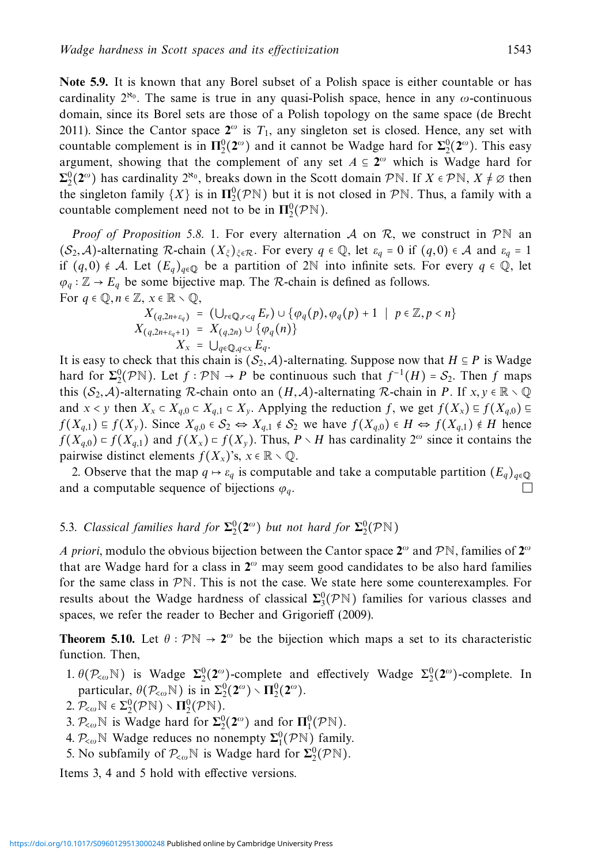**Note 5.9.** It is known that any Borel subset of a Polish space is either countable or has cardinality  $2^{\aleph_0}$ . The same is true in any quasi-Polish space, hence in any  $\omega$ -continuous domain, since its Borel sets are those of a Polish topology on the same space (de Brecht 2011). Since the Cantor space  $2^{\omega}$  is  $T_1$ , any singleton set is closed. Hence, any set with countable complement is in  $\Pi_2^0(2^\omega)$  and it cannot be Wadge hard for  $\Sigma_2^0(2^\omega)$ . This easy argument, showing that the complement of any set  $A \subseteq 2^\omega$  which is Wadge hard for  $\Sigma^0_2(2^\omega)$  has cardinality  $2^{\aleph_0}$ , breaks down in the Scott domain PN. If  $X \in \mathcal{P}\mathbb{N}$ ,  $X \neq \emptyset$  then the singleton family  $\{X\}$  is in  $\Pi_2^0(\mathcal{P}N)$  but it is not closed in  $\mathcal{P}N$ . Thus, a family with a countable complement need not to be in  $\Pi_2^0(\mathcal{P}N)$ .

*Proof of Proposition 5.8.* 1. For every alternation A on R, we construct in  $\mathcal{P}\mathbb{N}$  an  $(S_2, A)$ -alternating R-chain  $(X_\xi)_{\xi \in \mathcal{R}}$ . For every  $q \in \mathbb{Q}$ , let  $\varepsilon_q = 0$  if  $(q, 0) \in \mathcal{A}$  and  $\varepsilon_q = 1$ if  $(q, 0) \notin \mathcal{A}$ . Let  $(E_q)_{q \in \mathbb{Q}}$  be a partition of 2N into infinite sets. For every  $q \in \mathbb{Q}$ , let  $\varphi_q : \mathbb{Z} \to E_q$  be some bijective map. The R-chain is defined as follows. For  $q \in \mathbb{Q}, n \in \mathbb{Z}, x \in \mathbb{R} \setminus \mathbb{Q},$ 

$$
X_{(q,2n+\varepsilon_q)} = (\bigcup_{r \in \mathbb{Q}, r < q} E_r) \cup \{ \varphi_q(p), \varphi_q(p) + 1 \mid p \in \mathbb{Z}, p < n \}
$$
\n
$$
X_{(q,2n+\varepsilon_q+1)} = X_{(q,2n)} \cup \{ \varphi_q(n) \}
$$
\n
$$
X_x = \bigcup_{q \in \mathbb{Q}, q < x} E_q.
$$

It is easy to check that this chain is  $(S_2, A)$ -alternating. Suppose now that  $H \subseteq P$  is Wadge hard for  $\Sigma^0_2(PN)$ . Let  $f : \mathcal{P}N \to P$  be continuous such that  $f^{-1}(H) = S_2$ . Then  $f$  maps this  $(S_2, A)$ -alternating R-chain onto an  $(H, A)$ -alternating R-chain in *P*. If  $x, y \in \mathbb{R} \setminus \mathbb{Q}$ and *x* < *y* then  $X_x \subset X_{q,0} \subset X_{q,1} \subset X_y$ . Applying the reduction *f*, we get  $f(X_x) \subseteq f(X_{q,0}) \subseteq f(X_x)$ *f*(*X<sub>q,1</sub>*) ⊆ *f*(*X<sub>y</sub>*). Since  $X_{q,0} \in S_2 \Leftrightarrow X_{q,1} \notin S_2$  we have  $f(X_{q,0}) \in H \Leftrightarrow f(X_{q,1}) \notin H$  hence *f*( $X_{q,0}$ ) = *f*( $X_{q,1}$ ) and *f*( $X_x$ ) = *f*( $X_y$ ). Thus, *P* ∖*H* has cardinality 2<sup>ω</sup> since it contains the pairwise distinct elements  $f(X_x)$ 's,  $x \in \mathbb{R} \setminus \mathbb{Q}$ .

2. Observe that the map  $q \mapsto \varepsilon_q$  is computable and take a computable partition  $(E_q)_{q \in \mathbb{Q}}$ and a computable sequence of bijections  $\varphi_q$ .

# 5.3. Classical families hard for  $\Sigma_2^0(2^\omega)$  but not hard for  $\Sigma_2^0(\mathcal{P}N)$

A priori, modulo the obvious bijection between the Cantor space **<sup>2</sup>***<sup>ω</sup>* and <sup>P</sup>N, families of **<sup>2</sup>***<sup>ω</sup>* that are Wadge hard for a class in **2***<sup>ω</sup>* may seem good candidates to be also hard families for the same class in  $\mathcal{P}N$ . This is not the case. We state here some counterexamples. For results about the Wadge hardness of classical  $\Sigma^0_3(\mathcal{P}N)$  families for various classes and spaces, we refer the reader to Becher and Grigorieff (2009).

**Theorem 5.10.** Let  $\theta$  :  $\mathcal{P}N \to 2^\omega$  be the bijection which maps a set to its characteristic function. Then,

- 1.  $\theta(\mathcal{P}_{&}\otimes\mathbb{N})$  is Wadge  $\Sigma_2^0(\mathbf{2}^{\omega})$ -complete and effectively Wadge  $\Sigma_2^0(\mathbf{2}^{\omega})$ -complete. In particular,  $\theta(\mathcal{P}_{\leq \omega} \mathbb{N})$  is in  $\Sigma^0_2(2^{\omega}) \setminus \Pi^0_2(2^{\omega})$ .
- $2.$   $\mathcal{P}_{\leq \omega} \mathbb{N} \in \Sigma^0_2(\mathcal{P}\mathbb{N}) \setminus \mathbf{\Pi}^0_2(\mathcal{P}\mathbb{N}).$
- 3.  $\mathcal{P}_{\leq \omega} \mathbb{N}$  is Wadge hard for  $\Sigma_2^0(2^{\omega})$  and for  $\Pi_1^0(\mathcal{P}\mathbb{N})$ .
- 4.  $\mathcal{P}_{\leq \omega} \mathbb{N}$  Wadge reduces no nonempty  $\Sigma_1^0(\mathcal{P} \mathbb{N})$  family.
- 5. No subfamily of  $P_{< \omega} \mathbb{N}$  is Wadge hard for  $\Sigma^0_2(\mathcal{P} \mathbb{N})$ .

Items 3, 4 and 5 hold with effective versions.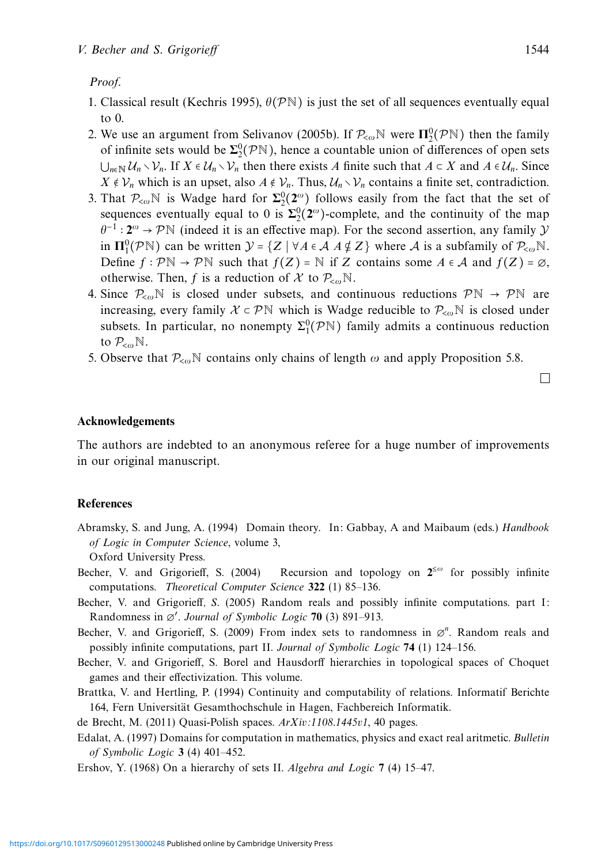#### Proof.

- 1. Classical result (Kechris 1995),  $\theta(\mathcal{P}N)$  is just the set of all sequences eventually equal to 0.
- 2. We use an argument from Selivanov (2005b). If  $P_{\leq \omega} \mathbb{N}$  were  $\Pi_2^0(\mathcal{P} \mathbb{N})$  then the family of infinite sets would be  $\Sigma_2^0(\mathcal{P}N)$ , hence a countable union of differences of open sets  $\bigcup_{n\in\mathbb{N}} U_n \setminus \mathcal{V}_n$ . If *X* ∈  $\mathcal{U}_n \setminus \mathcal{V}_n$  then there exists *A* finite such that  $A \subset X$  and  $A \in \mathcal{U}_n$ . Since *X* ∉  $V_n$  which is an upset, also *A* ∉  $V_n$ . Thus,  $U_n \setminus V_n$  contains a finite set, contradiction.
- 3. That  $\mathcal{P}_{\leq \omega}$ <sup>N</sup> is Wadge hard for  $\Sigma^0_2(2^{\omega})$  follows easily from the fact that the set of sequences eventually equal to 0 is  $\Sigma^0_2(2^\omega)$ -complete, and the continuity of the map *<sup>θ</sup>*−<sup>1</sup> <sup>∶</sup> **<sup>2</sup>***<sup>ω</sup>* → P<sup>N</sup> (indeed it is an effective map). For the second assertion, any family <sup>Y</sup> in  $\Pi_1^0(\mathcal{P}N)$  can be written  $\mathcal{Y} = \{Z \mid \forall A \in \mathcal{A} \land \nsubseteq Z\}$  where  $\mathcal{A}$  is a subfamily of  $\mathcal{P}_{\leq \omega}N$ . Define  $f : \mathcal{P}\mathbb{N} \to \mathcal{P}\mathbb{N}$  such that  $f(Z) = \mathbb{N}$  if *Z* contains some  $A \in \mathcal{A}$  and  $f(Z) = \emptyset$ , otherwise. Then, *f* is a reduction of X to  $P_{\leq \omega}$ N.
- 4. Since  $\mathcal{P}_{\leq \omega}$ <sup>N</sup> is closed under subsets, and continuous reductions  $\mathcal{P}N \to \mathcal{P}N$  are increasing, every family  $X \subset \mathcal{P}N$  which is Wadge reducible to  $\mathcal{P}_{\leq \omega}N$  is closed under subsets. In particular, no nonempty  $\Sigma_1^0(\mathcal{P}N)$  family admits a continuous reduction to P<*<sup>ω</sup>*N.
- 5. Observe that  $P_{\text{com}}$ <sup>N</sup> contains only chains of length  $\omega$  and apply Proposition 5.8.

 $\Box$ 

# **Acknowledgements**

The authors are indebted to an anonymous referee for a huge number of improvements in our original manuscript.

#### **References**

Abramsky, S. and Jung, A. (1994) Domain theory. In: Gabbay, A and Maibaum (eds.) Handbook of Logic in Computer Science, volume 3,

Oxford University Press.

- Becher, V. and Grigorieff, S. (2004) Recursion and topology on  $2^{\leq \omega}$  for possibly infinite computations. Theoretical Computer Science **322** (1) 85–136.
- Becher, V. and Grigorieff, S. (2005) Random reals and possibly infinite computations. part I: Randomness in ∅′ . Journal of Symbolic Logic **70** (3) 891–913.
- Becher, V. and Grigorieff, S. (2009) From index sets to randomness in ∅*<sup>n</sup>* . Random reals and possibly infinite computations, part II. Journal of Symbolic Logic **74** (1) 124–156.
- Becher, V. and Grigorieff, S. Borel and Hausdorff hierarchies in topological spaces of Choquet games and their effectivization. This volume.

Brattka, V. and Hertling, P. (1994) Continuity and computability of relations. Informatif Berichte 164, Fern Universität Gesamthochschule in Hagen, Fachbereich Informatik.

de Brecht, M. (2011) Quasi-Polish spaces. ArXiv:1108.1445v1, 40 pages.

Edalat, A. (1997) Domains for computation in mathematics, physics and exact real aritmetic. Bulletin of Symbolic Logic **3** (4) 401–452.

Ershov, Y. (1968) On a hierarchy of sets II. Algebra and Logic **7** (4) 15–47.